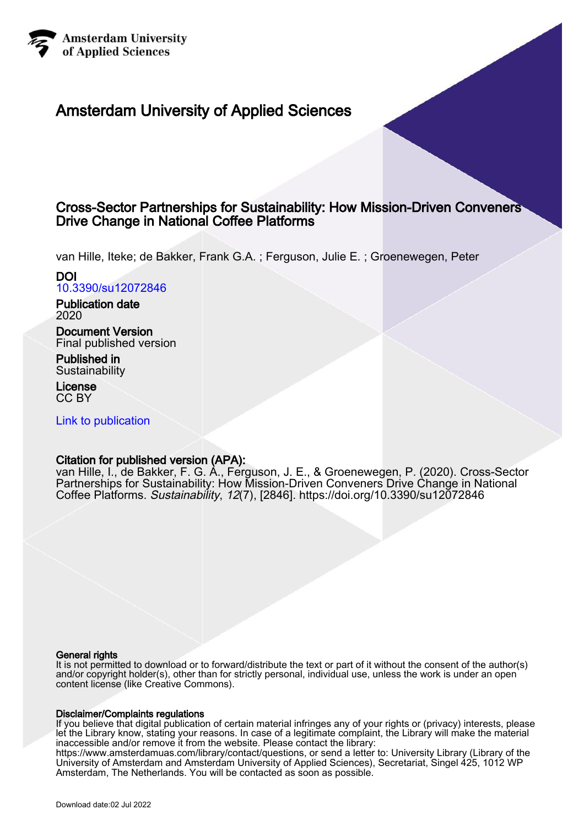

# Amsterdam University of Applied Sciences

# Cross-Sector Partnerships for Sustainability: How Mission-Driven Conveners Drive Change in National Coffee Platforms

van Hille, Iteke; de Bakker, Frank G.A. ; Ferguson, Julie E. ; Groenewegen, Peter

# DOI [10.3390/su12072846](https://doi.org/10.3390/su12072846)

Publication date 2020

Document Version Final published version

Published in **Sustainability** 

License CC BY

[Link to publication](https://research.hva.nl/en/publications/a058bbec-dabf-46bb-a85a-769cf3d32486)

# Citation for published version (APA):

van Hille, I., de Bakker, F. G. A., Ferguson, J. E., & Groenewegen, P. (2020). Cross-Sector Partnerships for Sustainability: How Mission-Driven Conveners Drive Change in National Coffee Platforms. Sustainability, 12(7), [2846]. <https://doi.org/10.3390/su12072846>

## General rights

It is not permitted to download or to forward/distribute the text or part of it without the consent of the author(s) and/or copyright holder(s), other than for strictly personal, individual use, unless the work is under an open content license (like Creative Commons).

#### Disclaimer/Complaints regulations

If you believe that digital publication of certain material infringes any of your rights or (privacy) interests, please let the Library know, stating your reasons. In case of a legitimate complaint, the Library will make the material inaccessible and/or remove it from the website. Please contact the library:

https://www.amsterdamuas.com/library/contact/questions, or send a letter to: University Library (Library of the University of Amsterdam and Amsterdam University of Applied Sciences), Secretariat, Singel 425, 1012 WP Amsterdam, The Netherlands. You will be contacted as soon as possible.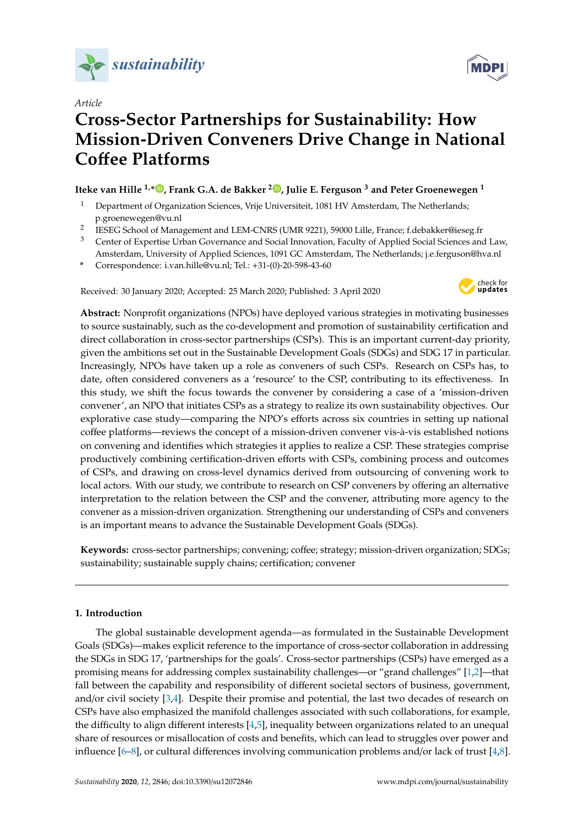

*Article*

# **Cross-Sector Partnerships for Sustainability: How Mission-Driven Conveners Drive Change in National Co**ff**ee Platforms**

# **Iteke van Hille 1,[\\*](https://orcid.org/0000-0002-6161-9523) , Frank G.A. de Bakker <sup>2</sup> [,](https://orcid.org/0000-0002-4784-3326) Julie E. Ferguson <sup>3</sup> and Peter Groenewegen <sup>1</sup>**

- <sup>1</sup> Department of Organization Sciences, Vrije Universiteit, 1081 HV Amsterdam, The Netherlands; p.groenewegen@vu.nl
- 2 IESEG School of Management and LEM-CNRS (UMR 9221), 59000 Lille, France; f.debakker@ieseg.fr
- <sup>3</sup> Center of Expertise Urban Governance and Social Innovation, Faculty of Applied Social Sciences and Law, Amsterdam, University of Applied Sciences, 1091 GC Amsterdam, The Netherlands; j.e.ferguson@hva.nl
- **\*** Correspondence: i.van.hille@vu.nl; Tel.: +31-(0)-20-598-43-60

Received: 30 January 2020; Accepted: 25 March 2020; Published: 3 April 2020



**Abstract:** Nonprofit organizations (NPOs) have deployed various strategies in motivating businesses to source sustainably, such as the co-development and promotion of sustainability certification and direct collaboration in cross-sector partnerships (CSPs). This is an important current-day priority, given the ambitions set out in the Sustainable Development Goals (SDGs) and SDG 17 in particular. Increasingly, NPOs have taken up a role as conveners of such CSPs. Research on CSPs has, to date, often considered conveners as a 'resource' to the CSP, contributing to its effectiveness. In this study, we shift the focus towards the convener by considering a case of a 'mission-driven convener', an NPO that initiates CSPs as a strategy to realize its own sustainability objectives. Our explorative case study—comparing the NPO's efforts across six countries in setting up national coffee platforms—reviews the concept of a mission-driven convener vis-à-vis established notions on convening and identifies which strategies it applies to realize a CSP. These strategies comprise productively combining certification-driven efforts with CSPs, combining process and outcomes of CSPs, and drawing on cross-level dynamics derived from outsourcing of convening work to local actors. With our study, we contribute to research on CSP conveners by offering an alternative interpretation to the relation between the CSP and the convener, attributing more agency to the convener as a mission-driven organization. Strengthening our understanding of CSPs and conveners is an important means to advance the Sustainable Development Goals (SDGs).

**Keywords:** cross-sector partnerships; convening; coffee; strategy; mission-driven organization; SDGs; sustainability; sustainable supply chains; certification; convener

## **1. Introduction**

The global sustainable development agenda—as formulated in the Sustainable Development Goals (SDGs)—makes explicit reference to the importance of cross-sector collaboration in addressing the SDGs in SDG 17, 'partnerships for the goals'. Cross-sector partnerships (CSPs) have emerged as a promising means for addressing complex sustainability challenges—or "grand challenges" [\[1,](#page-20-0)[2\]](#page-20-1)—that fall between the capability and responsibility of different societal sectors of business, government, and/or civil society [\[3,](#page-20-2)[4\]](#page-20-3). Despite their promise and potential, the last two decades of research on CSPs have also emphasized the manifold challenges associated with such collaborations, for example, the difficulty to align different interests [\[4](#page-20-3)[,5\]](#page-21-0), inequality between organizations related to an unequal share of resources or misallocation of costs and benefits, which can lead to struggles over power and influence [\[6–](#page-21-1)[8\]](#page-21-2), or cultural differences involving communication problems and/or lack of trust [\[4,](#page-20-3)[8\]](#page-21-2).

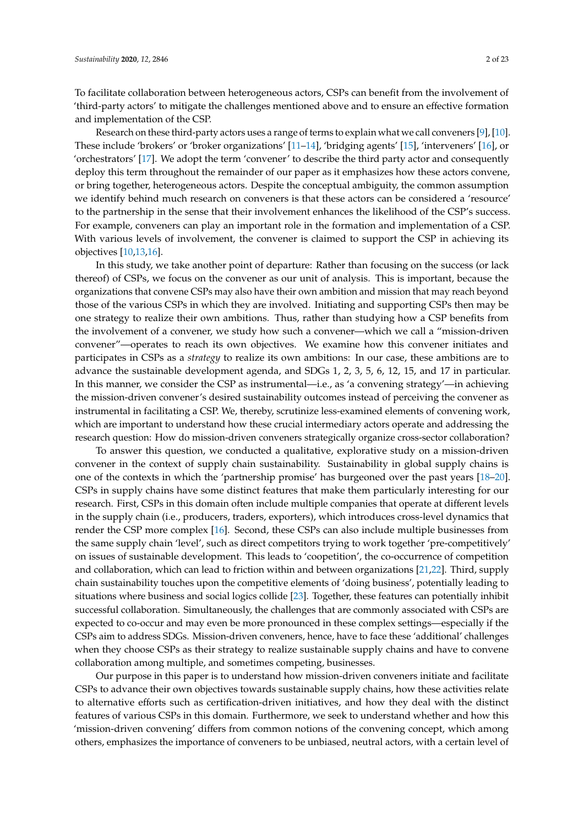To facilitate collaboration between heterogeneous actors, CSPs can benefit from the involvement of 'third-party actors' to mitigate the challenges mentioned above and to ensure an effective formation and implementation of the CSP.

Research on these third-party actors uses a range of terms to explain what we call conveners [\[9\]](#page-21-3), [\[10\]](#page-21-4). These include 'brokers' or 'broker organizations' [\[11–](#page-21-5)[14\]](#page-21-6), 'bridging agents' [\[15\]](#page-21-7), 'interveners' [\[16\]](#page-21-8), or 'orchestrators' [\[17\]](#page-21-9). We adopt the term 'convener' to describe the third party actor and consequently deploy this term throughout the remainder of our paper as it emphasizes how these actors convene, or bring together, heterogeneous actors. Despite the conceptual ambiguity, the common assumption we identify behind much research on conveners is that these actors can be considered a 'resource' to the partnership in the sense that their involvement enhances the likelihood of the CSP's success. For example, conveners can play an important role in the formation and implementation of a CSP. With various levels of involvement, the convener is claimed to support the CSP in achieving its objectives [\[10,](#page-21-4)[13,](#page-21-10)[16\]](#page-21-8).

In this study, we take another point of departure: Rather than focusing on the success (or lack thereof) of CSPs, we focus on the convener as our unit of analysis. This is important, because the organizations that convene CSPs may also have their own ambition and mission that may reach beyond those of the various CSPs in which they are involved. Initiating and supporting CSPs then may be one strategy to realize their own ambitions. Thus, rather than studying how a CSP benefits from the involvement of a convener, we study how such a convener—which we call a "mission-driven convener"—operates to reach its own objectives. We examine how this convener initiates and participates in CSPs as a *strategy* to realize its own ambitions: In our case, these ambitions are to advance the sustainable development agenda, and SDGs 1, 2, 3, 5, 6, 12, 15, and 17 in particular. In this manner, we consider the CSP as instrumental—i.e., as 'a convening strategy'—in achieving the mission-driven convener's desired sustainability outcomes instead of perceiving the convener as instrumental in facilitating a CSP. We, thereby, scrutinize less-examined elements of convening work, which are important to understand how these crucial intermediary actors operate and addressing the research question: How do mission-driven conveners strategically organize cross-sector collaboration?

To answer this question, we conducted a qualitative, explorative study on a mission-driven convener in the context of supply chain sustainability. Sustainability in global supply chains is one of the contexts in which the 'partnership promise' has burgeoned over the past years [\[18–](#page-21-11)[20\]](#page-21-12). CSPs in supply chains have some distinct features that make them particularly interesting for our research. First, CSPs in this domain often include multiple companies that operate at different levels in the supply chain (i.e., producers, traders, exporters), which introduces cross-level dynamics that render the CSP more complex [\[16\]](#page-21-8). Second, these CSPs can also include multiple businesses from the same supply chain 'level', such as direct competitors trying to work together 'pre-competitively' on issues of sustainable development. This leads to 'coopetition', the co-occurrence of competition and collaboration, which can lead to friction within and between organizations [\[21](#page-21-13)[,22\]](#page-21-14). Third, supply chain sustainability touches upon the competitive elements of 'doing business', potentially leading to situations where business and social logics collide [\[23\]](#page-21-15). Together, these features can potentially inhibit successful collaboration. Simultaneously, the challenges that are commonly associated with CSPs are expected to co-occur and may even be more pronounced in these complex settings—especially if the CSPs aim to address SDGs. Mission-driven conveners, hence, have to face these 'additional' challenges when they choose CSPs as their strategy to realize sustainable supply chains and have to convene collaboration among multiple, and sometimes competing, businesses.

Our purpose in this paper is to understand how mission-driven conveners initiate and facilitate CSPs to advance their own objectives towards sustainable supply chains, how these activities relate to alternative efforts such as certification-driven initiatives, and how they deal with the distinct features of various CSPs in this domain. Furthermore, we seek to understand whether and how this 'mission-driven convening' differs from common notions of the convening concept, which among others, emphasizes the importance of conveners to be unbiased, neutral actors, with a certain level of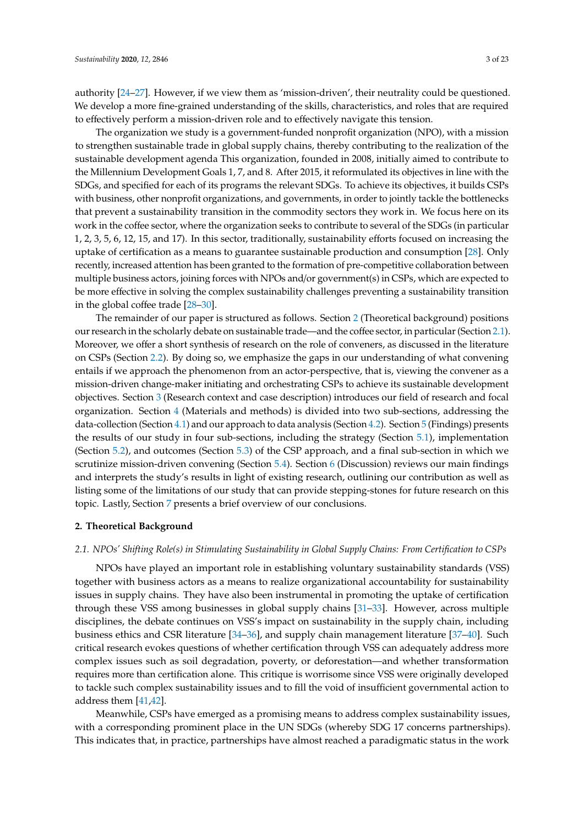authority [\[24–](#page-21-16)[27\]](#page-21-17). However, if we view them as 'mission-driven', their neutrality could be questioned. We develop a more fine-grained understanding of the skills, characteristics, and roles that are required to effectively perform a mission-driven role and to effectively navigate this tension.

The organization we study is a government-funded nonprofit organization (NPO), with a mission to strengthen sustainable trade in global supply chains, thereby contributing to the realization of the sustainable development agenda This organization, founded in 2008, initially aimed to contribute to the Millennium Development Goals 1, 7, and 8. After 2015, it reformulated its objectives in line with the SDGs, and specified for each of its programs the relevant SDGs. To achieve its objectives, it builds CSPs with business, other nonprofit organizations, and governments, in order to jointly tackle the bottlenecks that prevent a sustainability transition in the commodity sectors they work in. We focus here on its work in the coffee sector, where the organization seeks to contribute to several of the SDGs (in particular 1, 2, 3, 5, 6, 12, 15, and 17). In this sector, traditionally, sustainability efforts focused on increasing the uptake of certification as a means to guarantee sustainable production and consumption [\[28\]](#page-21-18). Only recently, increased attention has been granted to the formation of pre-competitive collaboration between multiple business actors, joining forces with NPOs and/or government(s) in CSPs, which are expected to be more effective in solving the complex sustainability challenges preventing a sustainability transition in the global coffee trade [\[28–](#page-21-18)[30\]](#page-21-19).

The remainder of our paper is structured as follows. Section [2](#page-3-0) (Theoretical background) positions our research in the scholarly debate on sustainable trade—and the coffee sector, in particular (Section [2.1\)](#page-3-1). Moreover, we offer a short synthesis of research on the role of conveners, as discussed in the literature on CSPs (Section [2.2\)](#page-4-0). By doing so, we emphasize the gaps in our understanding of what convening entails if we approach the phenomenon from an actor-perspective, that is, viewing the convener as a mission-driven change-maker initiating and orchestrating CSPs to achieve its sustainable development objectives. Section [3](#page-5-0) (Research context and case description) introduces our field of research and focal organization. Section [4](#page-6-0) (Materials and methods) is divided into two sub-sections, addressing the data-collection (Section [4.1\)](#page-6-1) and our approach to data analysis (Section [4.2\)](#page-7-0). Section [5](#page-8-0) (Findings) presents the results of our study in four sub-sections, including the strategy (Section [5.1\)](#page-8-1), implementation (Section [5.2\)](#page-10-0), and outcomes (Section [5.3\)](#page-12-0) of the CSP approach, and a final sub-section in which we scrutinize mission-driven convening (Section [5.4\)](#page-14-0). Section [6](#page-16-0) (Discussion) reviews our main findings and interprets the study's results in light of existing research, outlining our contribution as well as listing some of the limitations of our study that can provide stepping-stones for future research on this topic. Lastly, Section [7](#page-19-0) presents a brief overview of our conclusions.

#### <span id="page-3-0"></span>**2. Theoretical Background**

#### <span id="page-3-1"></span>*2.1. NPOs' Shifting Role(s) in Stimulating Sustainability in Global Supply Chains: From Certification to CSPs*

NPOs have played an important role in establishing voluntary sustainability standards (VSS) together with business actors as a means to realize organizational accountability for sustainability issues in supply chains. They have also been instrumental in promoting the uptake of certification through these VSS among businesses in global supply chains [\[31](#page-22-0)[–33\]](#page-22-1). However, across multiple disciplines, the debate continues on VSS's impact on sustainability in the supply chain, including business ethics and CSR literature [\[34–](#page-22-2)[36\]](#page-22-3), and supply chain management literature [\[37](#page-22-4)[–40\]](#page-22-5). Such critical research evokes questions of whether certification through VSS can adequately address more complex issues such as soil degradation, poverty, or deforestation—and whether transformation requires more than certification alone. This critique is worrisome since VSS were originally developed to tackle such complex sustainability issues and to fill the void of insufficient governmental action to address them [\[41,](#page-22-6)[42\]](#page-22-7).

Meanwhile, CSPs have emerged as a promising means to address complex sustainability issues, with a corresponding prominent place in the UN SDGs (whereby SDG 17 concerns partnerships). This indicates that, in practice, partnerships have almost reached a paradigmatic status in the work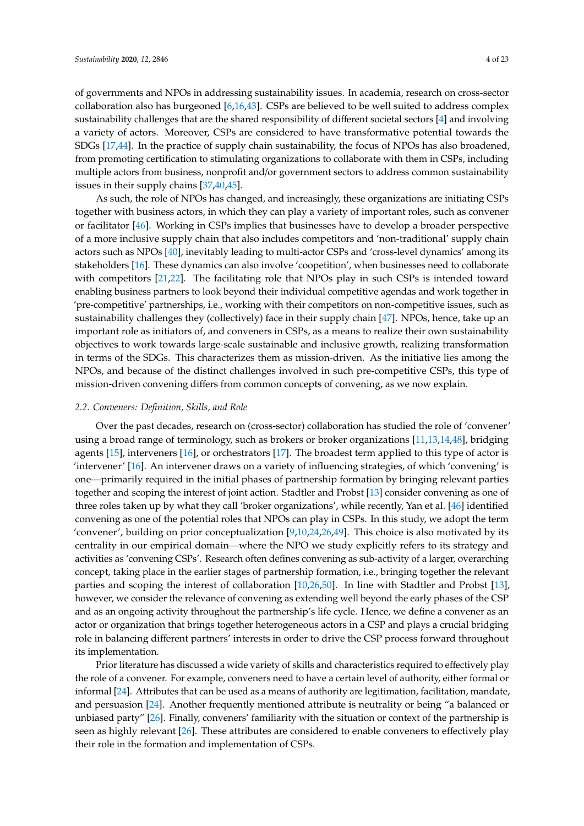of governments and NPOs in addressing sustainability issues. In academia, research on cross-sector collaboration also has burgeoned [\[6,](#page-21-1)[16,](#page-21-8)[43\]](#page-22-8). CSPs are believed to be well suited to address complex sustainability challenges that are the shared responsibility of different societal sectors [\[4\]](#page-20-3) and involving a variety of actors. Moreover, CSPs are considered to have transformative potential towards the SDGs [\[17](#page-21-9)[,44\]](#page-22-9). In the practice of supply chain sustainability, the focus of NPOs has also broadened, from promoting certification to stimulating organizations to collaborate with them in CSPs, including multiple actors from business, nonprofit and/or government sectors to address common sustainability issues in their supply chains [\[37,](#page-22-4)[40,](#page-22-5)[45\]](#page-22-10).

As such, the role of NPOs has changed, and increasingly, these organizations are initiating CSPs together with business actors, in which they can play a variety of important roles, such as convener or facilitator [\[46\]](#page-22-11). Working in CSPs implies that businesses have to develop a broader perspective of a more inclusive supply chain that also includes competitors and 'non-traditional' supply chain actors such as NPOs [\[40\]](#page-22-5), inevitably leading to multi-actor CSPs and 'cross-level dynamics' among its stakeholders [\[16\]](#page-21-8). These dynamics can also involve 'coopetition', when businesses need to collaborate with competitors [\[21](#page-21-13)[,22\]](#page-21-14). The facilitating role that NPOs play in such CSPs is intended toward enabling business partners to look beyond their individual competitive agendas and work together in 'pre-competitive' partnerships, i.e., working with their competitors on non-competitive issues, such as sustainability challenges they (collectively) face in their supply chain [\[47\]](#page-22-12). NPOs, hence, take up an important role as initiators of, and conveners in CSPs, as a means to realize their own sustainability objectives to work towards large-scale sustainable and inclusive growth, realizing transformation in terms of the SDGs. This characterizes them as mission-driven. As the initiative lies among the NPOs, and because of the distinct challenges involved in such pre-competitive CSPs, this type of mission-driven convening differs from common concepts of convening, as we now explain.

#### <span id="page-4-0"></span>*2.2. Conveners: Definition, Skills, and Role*

Over the past decades, research on (cross-sector) collaboration has studied the role of 'convener' using a broad range of terminology, such as brokers or broker organizations [\[11,](#page-21-5)[13,](#page-21-10)[14](#page-21-6)[,48\]](#page-22-13), bridging agents [\[15\]](#page-21-7), interveners [\[16\]](#page-21-8), or orchestrators [\[17\]](#page-21-9). The broadest term applied to this type of actor is 'intervener' [\[16\]](#page-21-8). An intervener draws on a variety of influencing strategies, of which 'convening' is one—primarily required in the initial phases of partnership formation by bringing relevant parties together and scoping the interest of joint action. Stadtler and Probst [\[13\]](#page-21-10) consider convening as one of three roles taken up by what they call 'broker organizations', while recently, Yan et al. [\[46\]](#page-22-11) identified convening as one of the potential roles that NPOs can play in CSPs. In this study, we adopt the term 'convener', building on prior conceptualization [\[9](#page-21-3)[,10](#page-21-4)[,24](#page-21-16)[,26](#page-21-20)[,49\]](#page-22-14). This choice is also motivated by its centrality in our empirical domain—where the NPO we study explicitly refers to its strategy and activities as 'convening CSPs'. Research often defines convening as sub-activity of a larger, overarching concept, taking place in the earlier stages of partnership formation, i.e., bringing together the relevant parties and scoping the interest of collaboration [\[10](#page-21-4)[,26](#page-21-20)[,50\]](#page-22-15). In line with Stadtler and Probst [\[13\]](#page-21-10), however, we consider the relevance of convening as extending well beyond the early phases of the CSP and as an ongoing activity throughout the partnership's life cycle. Hence, we define a convener as an actor or organization that brings together heterogeneous actors in a CSP and plays a crucial bridging role in balancing different partners' interests in order to drive the CSP process forward throughout its implementation.

Prior literature has discussed a wide variety of skills and characteristics required to effectively play the role of a convener. For example, conveners need to have a certain level of authority, either formal or informal [\[24\]](#page-21-16). Attributes that can be used as a means of authority are legitimation, facilitation, mandate, and persuasion [\[24\]](#page-21-16). Another frequently mentioned attribute is neutrality or being "a balanced or unbiased party" [\[26\]](#page-21-20). Finally, conveners' familiarity with the situation or context of the partnership is seen as highly relevant [\[26\]](#page-21-20). These attributes are considered to enable conveners to effectively play their role in the formation and implementation of CSPs.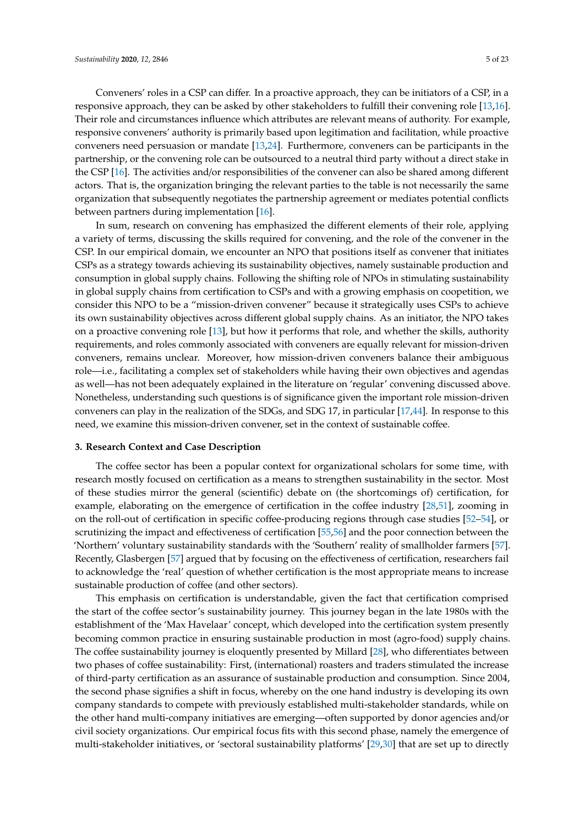Conveners' roles in a CSP can differ. In a proactive approach, they can be initiators of a CSP, in a responsive approach, they can be asked by other stakeholders to fulfill their convening role [\[13,](#page-21-10)[16\]](#page-21-8). Their role and circumstances influence which attributes are relevant means of authority. For example, responsive conveners' authority is primarily based upon legitimation and facilitation, while proactive conveners need persuasion or mandate [\[13,](#page-21-10)[24\]](#page-21-16). Furthermore, conveners can be participants in the partnership, or the convening role can be outsourced to a neutral third party without a direct stake in the CSP [\[16\]](#page-21-8). The activities and/or responsibilities of the convener can also be shared among different actors. That is, the organization bringing the relevant parties to the table is not necessarily the same organization that subsequently negotiates the partnership agreement or mediates potential conflicts between partners during implementation [\[16\]](#page-21-8).

In sum, research on convening has emphasized the different elements of their role, applying a variety of terms, discussing the skills required for convening, and the role of the convener in the CSP. In our empirical domain, we encounter an NPO that positions itself as convener that initiates CSPs as a strategy towards achieving its sustainability objectives, namely sustainable production and consumption in global supply chains. Following the shifting role of NPOs in stimulating sustainability in global supply chains from certification to CSPs and with a growing emphasis on coopetition, we consider this NPO to be a "mission-driven convener" because it strategically uses CSPs to achieve its own sustainability objectives across different global supply chains. As an initiator, the NPO takes on a proactive convening role [\[13\]](#page-21-10), but how it performs that role, and whether the skills, authority requirements, and roles commonly associated with conveners are equally relevant for mission-driven conveners, remains unclear. Moreover, how mission-driven conveners balance their ambiguous role—i.e., facilitating a complex set of stakeholders while having their own objectives and agendas as well—has not been adequately explained in the literature on 'regular' convening discussed above. Nonetheless, understanding such questions is of significance given the important role mission-driven conveners can play in the realization of the SDGs, and SDG 17, in particular [\[17](#page-21-9)[,44\]](#page-22-9). In response to this need, we examine this mission-driven convener, set in the context of sustainable coffee.

#### <span id="page-5-0"></span>**3. Research Context and Case Description**

The coffee sector has been a popular context for organizational scholars for some time, with research mostly focused on certification as a means to strengthen sustainability in the sector. Most of these studies mirror the general (scientific) debate on (the shortcomings of) certification, for example, elaborating on the emergence of certification in the coffee industry [\[28](#page-21-18)[,51\]](#page-22-16), zooming in on the roll-out of certification in specific coffee-producing regions through case studies [\[52](#page-22-17)[–54\]](#page-23-0), or scrutinizing the impact and effectiveness of certification [\[55](#page-23-1)[,56\]](#page-23-2) and the poor connection between the 'Northern' voluntary sustainability standards with the 'Southern' reality of smallholder farmers [\[57\]](#page-23-3). Recently, Glasbergen [\[57\]](#page-23-3) argued that by focusing on the effectiveness of certification, researchers fail to acknowledge the 'real' question of whether certification is the most appropriate means to increase sustainable production of coffee (and other sectors).

This emphasis on certification is understandable, given the fact that certification comprised the start of the coffee sector's sustainability journey. This journey began in the late 1980s with the establishment of the 'Max Havelaar' concept, which developed into the certification system presently becoming common practice in ensuring sustainable production in most (agro-food) supply chains. The coffee sustainability journey is eloquently presented by Millard [\[28\]](#page-21-18), who differentiates between two phases of coffee sustainability: First, (international) roasters and traders stimulated the increase of third-party certification as an assurance of sustainable production and consumption. Since 2004, the second phase signifies a shift in focus, whereby on the one hand industry is developing its own company standards to compete with previously established multi-stakeholder standards, while on the other hand multi-company initiatives are emerging—often supported by donor agencies and/or civil society organizations. Our empirical focus fits with this second phase, namely the emergence of multi-stakeholder initiatives, or 'sectoral sustainability platforms' [\[29,](#page-21-21)[30\]](#page-21-19) that are set up to directly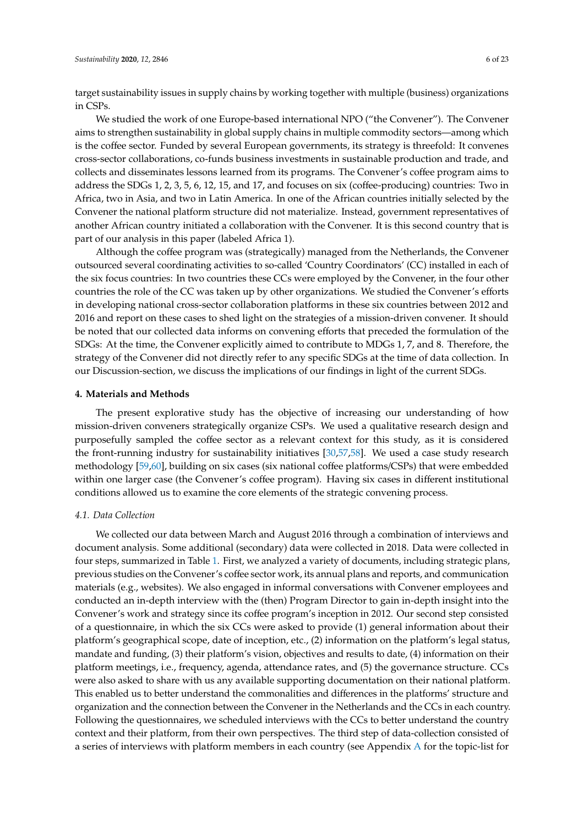target sustainability issues in supply chains by working together with multiple (business) organizations in CSPs.

We studied the work of one Europe-based international NPO ("the Convener"). The Convener aims to strengthen sustainability in global supply chains in multiple commodity sectors—among which is the coffee sector. Funded by several European governments, its strategy is threefold: It convenes cross-sector collaborations, co-funds business investments in sustainable production and trade, and collects and disseminates lessons learned from its programs. The Convener's coffee program aims to address the SDGs 1, 2, 3, 5, 6, 12, 15, and 17, and focuses on six (coffee-producing) countries: Two in Africa, two in Asia, and two in Latin America. In one of the African countries initially selected by the Convener the national platform structure did not materialize. Instead, government representatives of another African country initiated a collaboration with the Convener. It is this second country that is part of our analysis in this paper (labeled Africa 1).

Although the coffee program was (strategically) managed from the Netherlands, the Convener outsourced several coordinating activities to so-called 'Country Coordinators' (CC) installed in each of the six focus countries: In two countries these CCs were employed by the Convener, in the four other countries the role of the CC was taken up by other organizations. We studied the Convener's efforts in developing national cross-sector collaboration platforms in these six countries between 2012 and 2016 and report on these cases to shed light on the strategies of a mission-driven convener. It should be noted that our collected data informs on convening efforts that preceded the formulation of the SDGs: At the time, the Convener explicitly aimed to contribute to MDGs 1, 7, and 8. Therefore, the strategy of the Convener did not directly refer to any specific SDGs at the time of data collection. In our Discussion-section, we discuss the implications of our findings in light of the current SDGs.

#### <span id="page-6-0"></span>**4. Materials and Methods**

The present explorative study has the objective of increasing our understanding of how mission-driven conveners strategically organize CSPs. We used a qualitative research design and purposefully sampled the coffee sector as a relevant context for this study, as it is considered the front-running industry for sustainability initiatives [\[30](#page-21-19)[,57](#page-23-3)[,58\]](#page-23-4). We used a case study research methodology [\[59](#page-23-5)[,60\]](#page-23-6), building on six cases (six national coffee platforms/CSPs) that were embedded within one larger case (the Convener's coffee program). Having six cases in different institutional conditions allowed us to examine the core elements of the strategic convening process.

#### <span id="page-6-1"></span>*4.1. Data Collection*

We collected our data between March and August 2016 through a combination of interviews and document analysis. Some additional (secondary) data were collected in 2018. Data were collected in four steps, summarized in Table [1.](#page-7-1) First, we analyzed a variety of documents, including strategic plans, previous studies on the Convener's coffee sector work, its annual plans and reports, and communication materials (e.g., websites). We also engaged in informal conversations with Convener employees and conducted an in-depth interview with the (then) Program Director to gain in-depth insight into the Convener's work and strategy since its coffee program's inception in 2012. Our second step consisted of a questionnaire, in which the six CCs were asked to provide (1) general information about their platform's geographical scope, date of inception, etc., (2) information on the platform's legal status, mandate and funding, (3) their platform's vision, objectives and results to date, (4) information on their platform meetings, i.e., frequency, agenda, attendance rates, and (5) the governance structure. CCs were also asked to share with us any available supporting documentation on their national platform. This enabled us to better understand the commonalities and differences in the platforms' structure and organization and the connection between the Convener in the Netherlands and the CCs in each country. Following the questionnaires, we scheduled interviews with the CCs to better understand the country context and their platform, from their own perspectives. The third step of data-collection consisted of a series of interviews with platform members in each country (see Appendix [A](#page-19-1) for the topic-list for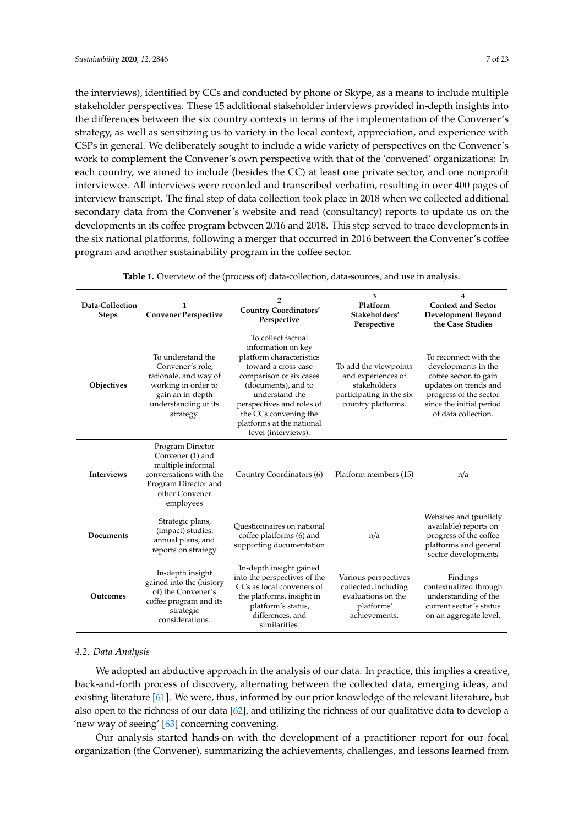the interviews), identified by CCs and conducted by phone or Skype, as a means to include multiple stakeholder perspectives. These 15 additional stakeholder interviews provided in-depth insights into the differences between the six country contexts in terms of the implementation of the Convener's strategy, as well as sensitizing us to variety in the local context, appreciation, and experience with CSPs in general. We deliberately sought to include a wide variety of perspectives on the Convener's work to complement the Convener's own perspective with that of the 'convened' organizations: In each country, we aimed to include (besides the CC) at least one private sector, and one nonprofit interviewee. All interviews were recorded and transcribed verbatim, resulting in over 400 pages of interview transcript. The final step of data collection took place in 2018 when we collected additional secondary data from the Convener's website and read (consultancy) reports to update us on the developments in its coffee program between 2016 and 2018. This step served to trace developments in the six national platforms, following a merger that occurred in 2016 between the Convener's coffee program and another sustainability program in the coffee sector.

<span id="page-7-1"></span>

| Data-Collection<br><b>Steps</b> | 1<br><b>Convener Perspective</b>                                                                                                                                       | 2<br><b>Country Coordinators'</b><br>Perspective                                                                                                                                                                                                                          | 3<br>Platform<br>Stakeholders'<br>Perspective                                                                 | 4<br><b>Context and Sector</b><br><b>Development Beyond</b><br>the Case Studies                                                                                              |  |
|---------------------------------|------------------------------------------------------------------------------------------------------------------------------------------------------------------------|---------------------------------------------------------------------------------------------------------------------------------------------------------------------------------------------------------------------------------------------------------------------------|---------------------------------------------------------------------------------------------------------------|------------------------------------------------------------------------------------------------------------------------------------------------------------------------------|--|
| Objectives                      | To understand the<br>Convener's role,<br>rationale, and way of<br>working in order to<br>gain an in-depth<br>understanding of its<br>strategy.                         | To collect factual<br>information on key<br>platform characteristics<br>toward a cross-case<br>comparison of six cases<br>(documents), and to<br>understand the<br>perspectives and roles of<br>the CCs convening the<br>platforms at the national<br>level (interviews). | To add the viewpoints<br>and experiences of<br>stakeholders<br>participating in the six<br>country platforms. | To reconnect with the<br>developments in the<br>coffee sector, to gain<br>updates on trends and<br>progress of the sector<br>since the initial period<br>of data collection. |  |
| <b>Interviews</b>               | Program Director<br>Convener (1) and<br>multiple informal<br>conversations with the<br>Country Coordinators (6)<br>Program Director and<br>other Convener<br>employees |                                                                                                                                                                                                                                                                           | Platform members (15)                                                                                         | n/a                                                                                                                                                                          |  |
| Documents                       | Strategic plans,<br>(impact) studies,<br>annual plans, and<br>reports on strategy                                                                                      | Ouestionnaires on national<br>coffee platforms (6) and<br>supporting documentation                                                                                                                                                                                        | n/a                                                                                                           | Websites and (publicly<br>available) reports on<br>progress of the coffee<br>platforms and general<br>sector developments                                                    |  |
| Outcomes                        | In-depth insight<br>gained into the (history<br>of) the Convener's<br>coffee program and its<br>strategic<br>considerations.                                           | In-depth insight gained<br>into the perspectives of the<br>CCs as local conveners of<br>the platforms, insight in<br>platform's status,<br>differences, and<br>similarities.                                                                                              | Various perspectives<br>collected, including<br>evaluations on the<br>platforms'<br>achievements.             | Findings<br>contextualized through<br>understanding of the<br>current sector's status<br>on an aggregate level.                                                              |  |

**Table 1.** Overview of the (process of) data-collection, data-sources, and use in analysis.

#### <span id="page-7-0"></span>*4.2. Data Analysis*

We adopted an abductive approach in the analysis of our data. In practice, this implies a creative, back-and-forth process of discovery, alternating between the collected data, emerging ideas, and existing literature [\[61\]](#page-23-7). We were, thus, informed by our prior knowledge of the relevant literature, but also open to the richness of our data [\[62\]](#page-23-8), and utilizing the richness of our qualitative data to develop a 'new way of seeing' [\[63\]](#page-23-9) concerning convening.

Our analysis started hands-on with the development of a practitioner report for our focal organization (the Convener), summarizing the achievements, challenges, and lessons learned from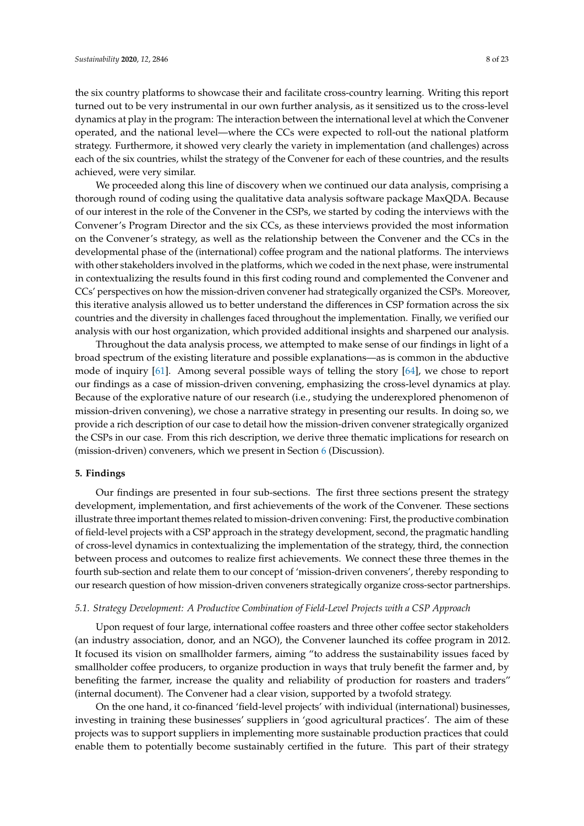the six country platforms to showcase their and facilitate cross-country learning. Writing this report turned out to be very instrumental in our own further analysis, as it sensitized us to the cross-level dynamics at play in the program: The interaction between the international level at which the Convener operated, and the national level—where the CCs were expected to roll-out the national platform strategy. Furthermore, it showed very clearly the variety in implementation (and challenges) across each of the six countries, whilst the strategy of the Convener for each of these countries, and the results achieved, were very similar.

We proceeded along this line of discovery when we continued our data analysis, comprising a thorough round of coding using the qualitative data analysis software package MaxQDA. Because of our interest in the role of the Convener in the CSPs, we started by coding the interviews with the Convener's Program Director and the six CCs, as these interviews provided the most information on the Convener's strategy, as well as the relationship between the Convener and the CCs in the developmental phase of the (international) coffee program and the national platforms. The interviews with other stakeholders involved in the platforms, which we coded in the next phase, were instrumental in contextualizing the results found in this first coding round and complemented the Convener and CCs' perspectives on how the mission-driven convener had strategically organized the CSPs. Moreover, this iterative analysis allowed us to better understand the differences in CSP formation across the six countries and the diversity in challenges faced throughout the implementation. Finally, we verified our analysis with our host organization, which provided additional insights and sharpened our analysis.

Throughout the data analysis process, we attempted to make sense of our findings in light of a broad spectrum of the existing literature and possible explanations—as is common in the abductive mode of inquiry [\[61\]](#page-23-7). Among several possible ways of telling the story [\[64\]](#page-23-10), we chose to report our findings as a case of mission-driven convening, emphasizing the cross-level dynamics at play. Because of the explorative nature of our research (i.e., studying the underexplored phenomenon of mission-driven convening), we chose a narrative strategy in presenting our results. In doing so, we provide a rich description of our case to detail how the mission-driven convener strategically organized the CSPs in our case. From this rich description, we derive three thematic implications for research on (mission-driven) conveners, which we present in Section [6](#page-16-0) (Discussion).

#### <span id="page-8-0"></span>**5. Findings**

Our findings are presented in four sub-sections. The first three sections present the strategy development, implementation, and first achievements of the work of the Convener. These sections illustrate three important themes related to mission-driven convening: First, the productive combination of field-level projects with a CSP approach in the strategy development, second, the pragmatic handling of cross-level dynamics in contextualizing the implementation of the strategy, third, the connection between process and outcomes to realize first achievements. We connect these three themes in the fourth sub-section and relate them to our concept of 'mission-driven conveners', thereby responding to our research question of how mission-driven conveners strategically organize cross-sector partnerships.

#### <span id="page-8-1"></span>*5.1. Strategy Development: A Productive Combination of Field-Level Projects with a CSP Approach*

Upon request of four large, international coffee roasters and three other coffee sector stakeholders (an industry association, donor, and an NGO), the Convener launched its coffee program in 2012. It focused its vision on smallholder farmers, aiming "to address the sustainability issues faced by smallholder coffee producers, to organize production in ways that truly benefit the farmer and, by benefiting the farmer, increase the quality and reliability of production for roasters and traders" (internal document). The Convener had a clear vision, supported by a twofold strategy.

On the one hand, it co-financed 'field-level projects' with individual (international) businesses, investing in training these businesses' suppliers in 'good agricultural practices'. The aim of these projects was to support suppliers in implementing more sustainable production practices that could enable them to potentially become sustainably certified in the future. This part of their strategy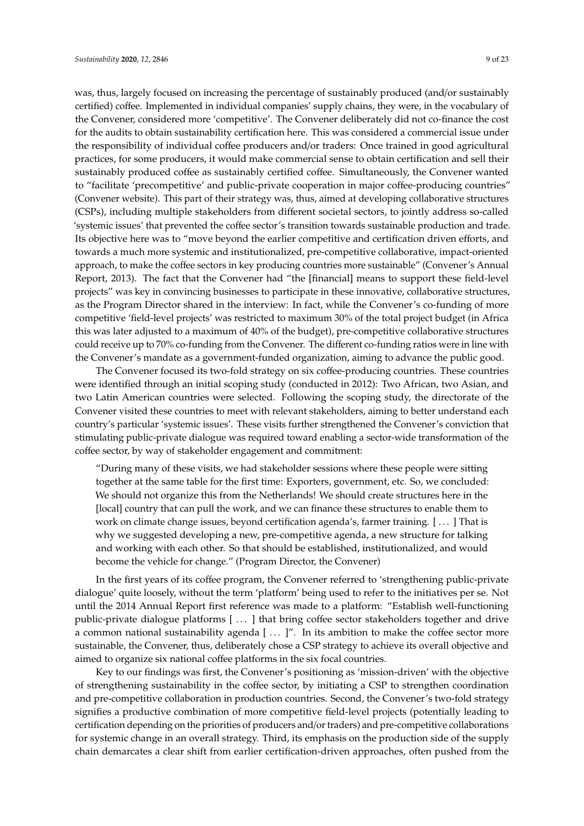was, thus, largely focused on increasing the percentage of sustainably produced (and/or sustainably certified) coffee. Implemented in individual companies' supply chains, they were, in the vocabulary of the Convener, considered more 'competitive'. The Convener deliberately did not co-finance the cost for the audits to obtain sustainability certification here. This was considered a commercial issue under the responsibility of individual coffee producers and/or traders: Once trained in good agricultural practices, for some producers, it would make commercial sense to obtain certification and sell their sustainably produced coffee as sustainably certified coffee. Simultaneously, the Convener wanted to "facilitate 'precompetitive' and public-private cooperation in major coffee-producing countries" (Convener website). This part of their strategy was, thus, aimed at developing collaborative structures (CSPs), including multiple stakeholders from different societal sectors, to jointly address so-called 'systemic issues' that prevented the coffee sector's transition towards sustainable production and trade. Its objective here was to "move beyond the earlier competitive and certification driven efforts, and towards a much more systemic and institutionalized, pre-competitive collaborative, impact-oriented approach, to make the coffee sectors in key producing countries more sustainable" (Convener's Annual Report, 2013). The fact that the Convener had "the [financial] means to support these field-level projects" was key in convincing businesses to participate in these innovative, collaborative structures, as the Program Director shared in the interview: In fact, while the Convener's co-funding of more competitive 'field-level projects' was restricted to maximum 30% of the total project budget (in Africa this was later adjusted to a maximum of 40% of the budget), pre-competitive collaborative structures could receive up to 70% co-funding from the Convener. The different co-funding ratios were in line with

the Convener's mandate as a government-funded organization, aiming to advance the public good. The Convener focused its two-fold strategy on six coffee-producing countries. These countries were identified through an initial scoping study (conducted in 2012): Two African, two Asian, and two Latin American countries were selected. Following the scoping study, the directorate of the Convener visited these countries to meet with relevant stakeholders, aiming to better understand each country's particular 'systemic issues'. These visits further strengthened the Convener's conviction that stimulating public-private dialogue was required toward enabling a sector-wide transformation of the coffee sector, by way of stakeholder engagement and commitment:

"During many of these visits, we had stakeholder sessions where these people were sitting together at the same table for the first time: Exporters, government, etc. So, we concluded: We should not organize this from the Netherlands! We should create structures here in the [local] country that can pull the work, and we can finance these structures to enable them to work on climate change issues, beyond certification agenda's, farmer training. [ . . . ] That is why we suggested developing a new, pre-competitive agenda, a new structure for talking and working with each other. So that should be established, institutionalized, and would become the vehicle for change." (Program Director, the Convener)

In the first years of its coffee program, the Convener referred to 'strengthening public-private dialogue' quite loosely, without the term 'platform' being used to refer to the initiatives per se. Not until the 2014 Annual Report first reference was made to a platform: "Establish well-functioning public-private dialogue platforms [ . . . ] that bring coffee sector stakeholders together and drive a common national sustainability agenda  $[...]$ ". In its ambition to make the coffee sector more sustainable, the Convener, thus, deliberately chose a CSP strategy to achieve its overall objective and aimed to organize six national coffee platforms in the six focal countries.

Key to our findings was first, the Convener's positioning as 'mission-driven' with the objective of strengthening sustainability in the coffee sector, by initiating a CSP to strengthen coordination and pre-competitive collaboration in production countries. Second, the Convener's two-fold strategy signifies a productive combination of more competitive field-level projects (potentially leading to certification depending on the priorities of producers and/or traders) and pre-competitive collaborations for systemic change in an overall strategy. Third, its emphasis on the production side of the supply chain demarcates a clear shift from earlier certification-driven approaches, often pushed from the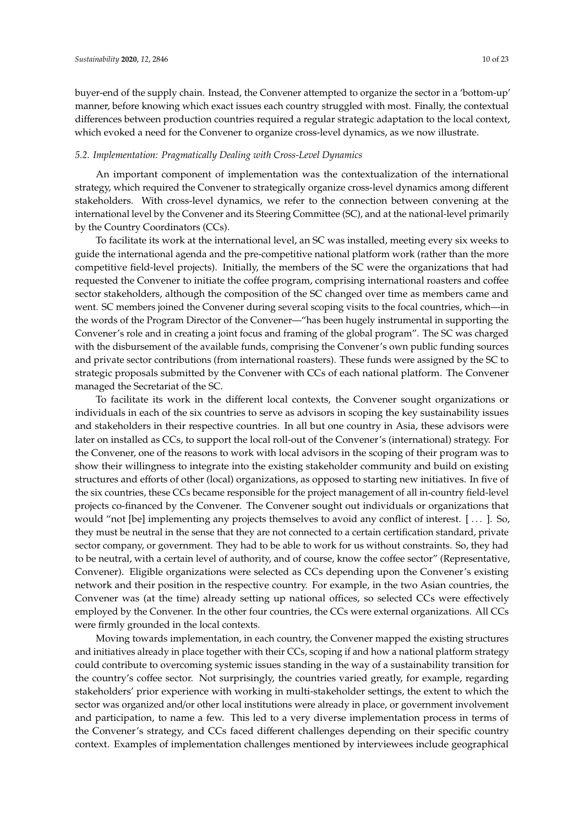buyer-end of the supply chain. Instead, the Convener attempted to organize the sector in a 'bottom-up' manner, before knowing which exact issues each country struggled with most. Finally, the contextual differences between production countries required a regular strategic adaptation to the local context, which evoked a need for the Convener to organize cross-level dynamics, as we now illustrate.

#### <span id="page-10-0"></span>*5.2. Implementation: Pragmatically Dealing with Cross-Level Dynamics*

An important component of implementation was the contextualization of the international strategy, which required the Convener to strategically organize cross-level dynamics among different stakeholders. With cross-level dynamics, we refer to the connection between convening at the international level by the Convener and its Steering Committee (SC), and at the national-level primarily by the Country Coordinators (CCs).

To facilitate its work at the international level, an SC was installed, meeting every six weeks to guide the international agenda and the pre-competitive national platform work (rather than the more competitive field-level projects). Initially, the members of the SC were the organizations that had requested the Convener to initiate the coffee program, comprising international roasters and coffee sector stakeholders, although the composition of the SC changed over time as members came and went. SC members joined the Convener during several scoping visits to the focal countries, which—in the words of the Program Director of the Convener—"has been hugely instrumental in supporting the Convener's role and in creating a joint focus and framing of the global program". The SC was charged with the disbursement of the available funds, comprising the Convener's own public funding sources and private sector contributions (from international roasters). These funds were assigned by the SC to strategic proposals submitted by the Convener with CCs of each national platform. The Convener managed the Secretariat of the SC.

To facilitate its work in the different local contexts, the Convener sought organizations or individuals in each of the six countries to serve as advisors in scoping the key sustainability issues and stakeholders in their respective countries. In all but one country in Asia, these advisors were later on installed as CCs, to support the local roll-out of the Convener's (international) strategy. For the Convener, one of the reasons to work with local advisors in the scoping of their program was to show their willingness to integrate into the existing stakeholder community and build on existing structures and efforts of other (local) organizations, as opposed to starting new initiatives. In five of the six countries, these CCs became responsible for the project management of all in-country field-level projects co-financed by the Convener. The Convener sought out individuals or organizations that would "not [be] implementing any projects themselves to avoid any conflict of interest. [ . . . ]. So, they must be neutral in the sense that they are not connected to a certain certification standard, private sector company, or government. They had to be able to work for us without constraints. So, they had to be neutral, with a certain level of authority, and of course, know the coffee sector" (Representative, Convener). Eligible organizations were selected as CCs depending upon the Convener's existing network and their position in the respective country. For example, in the two Asian countries, the Convener was (at the time) already setting up national offices, so selected CCs were effectively employed by the Convener. In the other four countries, the CCs were external organizations. All CCs were firmly grounded in the local contexts.

Moving towards implementation, in each country, the Convener mapped the existing structures and initiatives already in place together with their CCs, scoping if and how a national platform strategy could contribute to overcoming systemic issues standing in the way of a sustainability transition for the country's coffee sector. Not surprisingly, the countries varied greatly, for example, regarding stakeholders' prior experience with working in multi-stakeholder settings, the extent to which the sector was organized and/or other local institutions were already in place, or government involvement and participation, to name a few. This led to a very diverse implementation process in terms of the Convener's strategy, and CCs faced different challenges depending on their specific country context. Examples of implementation challenges mentioned by interviewees include geographical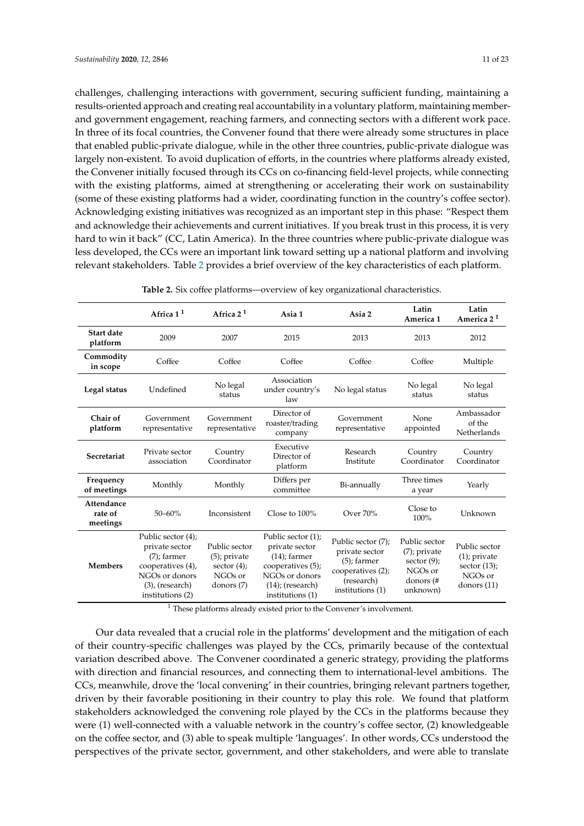challenges, challenging interactions with government, securing sufficient funding, maintaining a results-oriented approach and creating real accountability in a voluntary platform, maintaining memberand government engagement, reaching farmers, and connecting sectors with a different work pace. In three of its focal countries, the Convener found that there were already some structures in place that enabled public-private dialogue, while in the other three countries, public-private dialogue was largely non-existent. To avoid duplication of efforts, in the countries where platforms already existed, the Convener initially focused through its CCs on co-financing field-level projects, while connecting with the existing platforms, aimed at strengthening or accelerating their work on sustainability (some of these existing platforms had a wider, coordinating function in the country's coffee sector). Acknowledging existing initiatives was recognized as an important step in this phase: "Respect them and acknowledge their achievements and current initiatives. If you break trust in this process, it is very hard to win it back" (CC, Latin America). In the three countries where public-private dialogue was less developed, the CCs were an important link toward setting up a national platform and involving relevant stakeholders. Table [2](#page-11-0) provides a brief overview of the key characteristics of each platform.

<span id="page-11-0"></span>

|                                   | Africa $11$                                                                                                                             | Africa $21$                                                                   | Asia 1                                                                                                                                    | Asia 2                                                                                                        | Latin<br>America 1                                                                     | Latin<br>America 2 <sup>1</sup>                                                 |
|-----------------------------------|-----------------------------------------------------------------------------------------------------------------------------------------|-------------------------------------------------------------------------------|-------------------------------------------------------------------------------------------------------------------------------------------|---------------------------------------------------------------------------------------------------------------|----------------------------------------------------------------------------------------|---------------------------------------------------------------------------------|
| Start date<br>platform            | 2009                                                                                                                                    | 2007                                                                          | 2015                                                                                                                                      | 2013                                                                                                          | 2013                                                                                   | 2012                                                                            |
| Commodity<br>in scope             | Coffee                                                                                                                                  | Coffee                                                                        | Coffee                                                                                                                                    | Coffee                                                                                                        | Coffee                                                                                 | Multiple                                                                        |
| Legal status                      | Undefined                                                                                                                               | No legal<br>status                                                            | Association<br>under country's<br>law                                                                                                     | No legal status                                                                                               | No legal<br>status                                                                     | No legal<br>status                                                              |
| Chair of<br>platform              | Government<br>representative                                                                                                            | Government<br>representative                                                  | Director of<br>roaster/trading<br>company                                                                                                 | Government<br>representative                                                                                  | None<br>appointed                                                                      | Ambassador<br>of the<br>Netherlands                                             |
| Secretariat                       | Private sector<br>association                                                                                                           | Country<br>Coordinator                                                        | Executive<br>Director of<br>platform                                                                                                      | Research<br>Institute                                                                                         | Country<br>Coordinator                                                                 | Country<br>Coordinator                                                          |
| Frequency<br>of meetings          | Monthly                                                                                                                                 | Monthly                                                                       | Differs per<br>committee                                                                                                                  | Bi-annually                                                                                                   | Three times<br>a year                                                                  | Yearly                                                                          |
| Attendance<br>rate of<br>meetings | $50 - 60%$                                                                                                                              | Inconsistent                                                                  | Close to $100\%$                                                                                                                          | Over $70%$                                                                                                    | Close to<br>100%                                                                       | Unknown                                                                         |
| <b>Members</b>                    | Public sector (4);<br>private sector<br>$(7)$ ; farmer<br>cooperatives (4),<br>NGOs or donors<br>$(3)$ , (research)<br>institutions (2) | Public sector<br>$(5)$ ; private<br>sector $(4)$ ;<br>$NGOs$ or<br>donors (7) | Public sector (1);<br>private sector<br>$(14)$ ; farmer<br>cooperatives (5);<br>NGOs or donors<br>$(14)$ ; (research)<br>institutions (1) | Public sector (7);<br>private sector<br>$(5)$ ; farmer<br>cooperatives (2);<br>(research)<br>institutions (1) | Public sector<br>$(7)$ ; private<br>sector $(9)$ ;<br>NGOs or<br>donors (#<br>unknown) | Public sector<br>$(1)$ ; private<br>sector $(13)$ ;<br>NGOs or<br>donors $(11)$ |

<sup>1</sup> These platforms already existed prior to the Convener's involvement.

Our data revealed that a crucial role in the platforms' development and the mitigation of each of their country-specific challenges was played by the CCs, primarily because of the contextual variation described above. The Convener coordinated a generic strategy, providing the platforms with direction and financial resources, and connecting them to international-level ambitions. The CCs, meanwhile, drove the 'local convening' in their countries, bringing relevant partners together, driven by their favorable positioning in their country to play this role. We found that platform stakeholders acknowledged the convening role played by the CCs in the platforms because they were (1) well-connected with a valuable network in the country's coffee sector, (2) knowledgeable on the coffee sector, and (3) able to speak multiple 'languages'. In other words, CCs understood the perspectives of the private sector, government, and other stakeholders, and were able to translate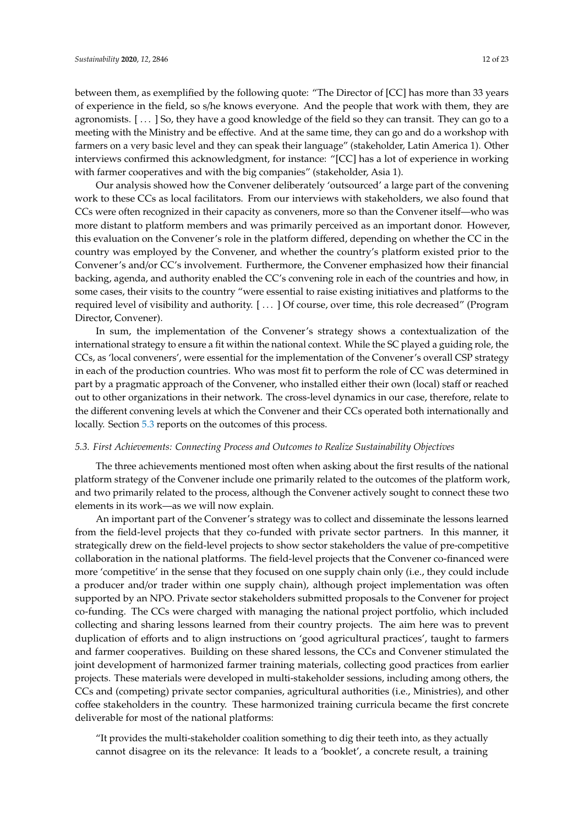between them, as exemplified by the following quote: "The Director of [CC] has more than 33 years of experience in the field, so s/he knows everyone. And the people that work with them, they are agronomists. [ . . . ] So, they have a good knowledge of the field so they can transit. They can go to a meeting with the Ministry and be effective. And at the same time, they can go and do a workshop with farmers on a very basic level and they can speak their language" (stakeholder, Latin America 1). Other interviews confirmed this acknowledgment, for instance: "[CC] has a lot of experience in working with farmer cooperatives and with the big companies" (stakeholder, Asia 1).

Our analysis showed how the Convener deliberately 'outsourced' a large part of the convening work to these CCs as local facilitators. From our interviews with stakeholders, we also found that CCs were often recognized in their capacity as conveners, more so than the Convener itself—who was more distant to platform members and was primarily perceived as an important donor. However, this evaluation on the Convener's role in the platform differed, depending on whether the CC in the country was employed by the Convener, and whether the country's platform existed prior to the Convener's and/or CC's involvement. Furthermore, the Convener emphasized how their financial backing, agenda, and authority enabled the CC's convening role in each of the countries and how, in some cases, their visits to the country "were essential to raise existing initiatives and platforms to the required level of visibility and authority. [ . . . ] Of course, over time, this role decreased" (Program Director, Convener).

In sum, the implementation of the Convener's strategy shows a contextualization of the international strategy to ensure a fit within the national context. While the SC played a guiding role, the CCs, as 'local conveners', were essential for the implementation of the Convener's overall CSP strategy in each of the production countries. Who was most fit to perform the role of CC was determined in part by a pragmatic approach of the Convener, who installed either their own (local) staff or reached out to other organizations in their network. The cross-level dynamics in our case, therefore, relate to the different convening levels at which the Convener and their CCs operated both internationally and locally. Section [5.3](#page-12-0) reports on the outcomes of this process.

#### <span id="page-12-0"></span>*5.3. First Achievements: Connecting Process and Outcomes to Realize Sustainability Objectives*

The three achievements mentioned most often when asking about the first results of the national platform strategy of the Convener include one primarily related to the outcomes of the platform work, and two primarily related to the process, although the Convener actively sought to connect these two elements in its work—as we will now explain.

An important part of the Convener's strategy was to collect and disseminate the lessons learned from the field-level projects that they co-funded with private sector partners. In this manner, it strategically drew on the field-level projects to show sector stakeholders the value of pre-competitive collaboration in the national platforms. The field-level projects that the Convener co-financed were more 'competitive' in the sense that they focused on one supply chain only (i.e., they could include a producer and/or trader within one supply chain), although project implementation was often supported by an NPO. Private sector stakeholders submitted proposals to the Convener for project co-funding. The CCs were charged with managing the national project portfolio, which included collecting and sharing lessons learned from their country projects. The aim here was to prevent duplication of efforts and to align instructions on 'good agricultural practices', taught to farmers and farmer cooperatives. Building on these shared lessons, the CCs and Convener stimulated the joint development of harmonized farmer training materials, collecting good practices from earlier projects. These materials were developed in multi-stakeholder sessions, including among others, the CCs and (competing) private sector companies, agricultural authorities (i.e., Ministries), and other coffee stakeholders in the country. These harmonized training curricula became the first concrete deliverable for most of the national platforms:

"It provides the multi-stakeholder coalition something to dig their teeth into, as they actually cannot disagree on its the relevance: It leads to a 'booklet', a concrete result, a training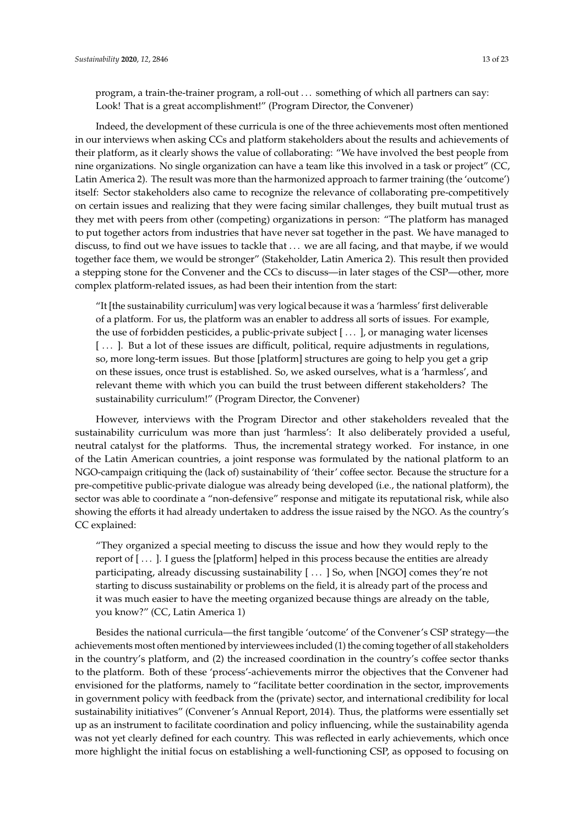Indeed, the development of these curricula is one of the three achievements most often mentioned in our interviews when asking CCs and platform stakeholders about the results and achievements of their platform, as it clearly shows the value of collaborating: "We have involved the best people from nine organizations. No single organization can have a team like this involved in a task or project" (CC, Latin America 2). The result was more than the harmonized approach to farmer training (the 'outcome') itself: Sector stakeholders also came to recognize the relevance of collaborating pre-competitively on certain issues and realizing that they were facing similar challenges, they built mutual trust as they met with peers from other (competing) organizations in person: "The platform has managed to put together actors from industries that have never sat together in the past. We have managed to discuss, to find out we have issues to tackle that . . . we are all facing, and that maybe, if we would together face them, we would be stronger" (Stakeholder, Latin America 2). This result then provided a stepping stone for the Convener and the CCs to discuss—in later stages of the CSP—other, more complex platform-related issues, as had been their intention from the start:

"It [the sustainability curriculum] was very logical because it was a 'harmless' first deliverable of a platform. For us, the platform was an enabler to address all sorts of issues. For example, the use of forbidden pesticides, a public-private subject [ . . . ], or managing water licenses [...]. But a lot of these issues are difficult, political, require adjustments in regulations, so, more long-term issues. But those [platform] structures are going to help you get a grip on these issues, once trust is established. So, we asked ourselves, what is a 'harmless', and relevant theme with which you can build the trust between different stakeholders? The sustainability curriculum!" (Program Director, the Convener)

However, interviews with the Program Director and other stakeholders revealed that the sustainability curriculum was more than just 'harmless': It also deliberately provided a useful, neutral catalyst for the platforms. Thus, the incremental strategy worked. For instance, in one of the Latin American countries, a joint response was formulated by the national platform to an NGO-campaign critiquing the (lack of) sustainability of 'their' coffee sector. Because the structure for a pre-competitive public-private dialogue was already being developed (i.e., the national platform), the sector was able to coordinate a "non-defensive" response and mitigate its reputational risk, while also showing the efforts it had already undertaken to address the issue raised by the NGO. As the country's CC explained:

"They organized a special meeting to discuss the issue and how they would reply to the report of [ . . . ]. I guess the [platform] helped in this process because the entities are already participating, already discussing sustainability [ . . . ] So, when [NGO] comes they're not starting to discuss sustainability or problems on the field, it is already part of the process and it was much easier to have the meeting organized because things are already on the table, you know?" (CC, Latin America 1)

Besides the national curricula—the first tangible 'outcome' of the Convener's CSP strategy—the achievements most often mentioned by interviewees included (1) the coming together of all stakeholders in the country's platform, and (2) the increased coordination in the country's coffee sector thanks to the platform. Both of these 'process'-achievements mirror the objectives that the Convener had envisioned for the platforms, namely to "facilitate better coordination in the sector, improvements in government policy with feedback from the (private) sector, and international credibility for local sustainability initiatives" (Convener's Annual Report, 2014). Thus, the platforms were essentially set up as an instrument to facilitate coordination and policy influencing, while the sustainability agenda was not yet clearly defined for each country. This was reflected in early achievements, which once more highlight the initial focus on establishing a well-functioning CSP, as opposed to focusing on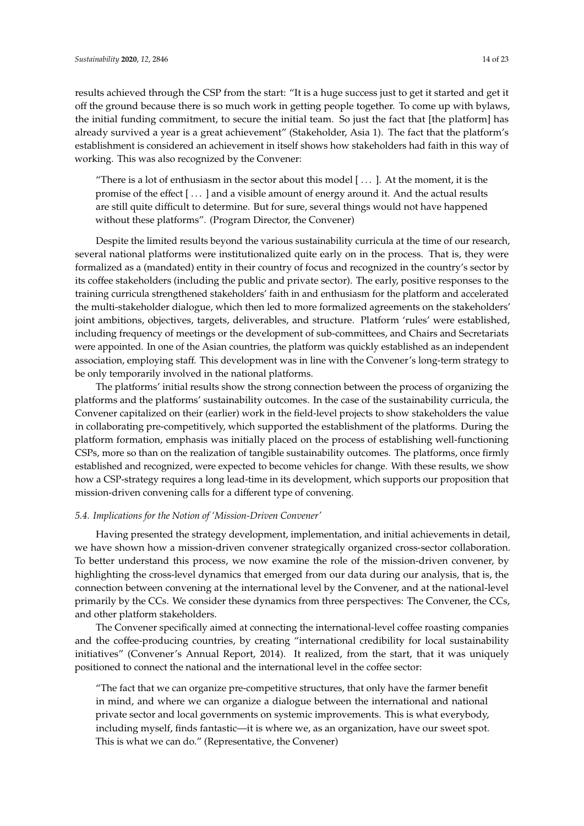results achieved through the CSP from the start: "It is a huge success just to get it started and get it off the ground because there is so much work in getting people together. To come up with bylaws, the initial funding commitment, to secure the initial team. So just the fact that [the platform] has already survived a year is a great achievement" (Stakeholder, Asia 1). The fact that the platform's establishment is considered an achievement in itself shows how stakeholders had faith in this way of working. This was also recognized by the Convener:

"There is a lot of enthusiasm in the sector about this model  $[\dots]$ . At the moment, it is the promise of the effect [ . . . ] and a visible amount of energy around it. And the actual results are still quite difficult to determine. But for sure, several things would not have happened without these platforms". (Program Director, the Convener)

Despite the limited results beyond the various sustainability curricula at the time of our research, several national platforms were institutionalized quite early on in the process. That is, they were formalized as a (mandated) entity in their country of focus and recognized in the country's sector by its coffee stakeholders (including the public and private sector). The early, positive responses to the training curricula strengthened stakeholders' faith in and enthusiasm for the platform and accelerated the multi-stakeholder dialogue, which then led to more formalized agreements on the stakeholders' joint ambitions, objectives, targets, deliverables, and structure. Platform 'rules' were established, including frequency of meetings or the development of sub-committees, and Chairs and Secretariats were appointed. In one of the Asian countries, the platform was quickly established as an independent association, employing staff. This development was in line with the Convener's long-term strategy to be only temporarily involved in the national platforms.

The platforms' initial results show the strong connection between the process of organizing the platforms and the platforms' sustainability outcomes. In the case of the sustainability curricula, the Convener capitalized on their (earlier) work in the field-level projects to show stakeholders the value in collaborating pre-competitively, which supported the establishment of the platforms. During the platform formation, emphasis was initially placed on the process of establishing well-functioning CSPs, more so than on the realization of tangible sustainability outcomes. The platforms, once firmly established and recognized, were expected to become vehicles for change. With these results, we show how a CSP-strategy requires a long lead-time in its development, which supports our proposition that mission-driven convening calls for a different type of convening.

#### <span id="page-14-0"></span>*5.4. Implications for the Notion of 'Mission-Driven Convener'*

Having presented the strategy development, implementation, and initial achievements in detail, we have shown how a mission-driven convener strategically organized cross-sector collaboration. To better understand this process, we now examine the role of the mission-driven convener, by highlighting the cross-level dynamics that emerged from our data during our analysis, that is, the connection between convening at the international level by the Convener, and at the national-level primarily by the CCs. We consider these dynamics from three perspectives: The Convener, the CCs, and other platform stakeholders.

The Convener specifically aimed at connecting the international-level coffee roasting companies and the coffee-producing countries, by creating "international credibility for local sustainability initiatives" (Convener's Annual Report, 2014). It realized, from the start, that it was uniquely positioned to connect the national and the international level in the coffee sector:

"The fact that we can organize pre-competitive structures, that only have the farmer benefit in mind, and where we can organize a dialogue between the international and national private sector and local governments on systemic improvements. This is what everybody, including myself, finds fantastic—it is where we, as an organization, have our sweet spot. This is what we can do." (Representative, the Convener)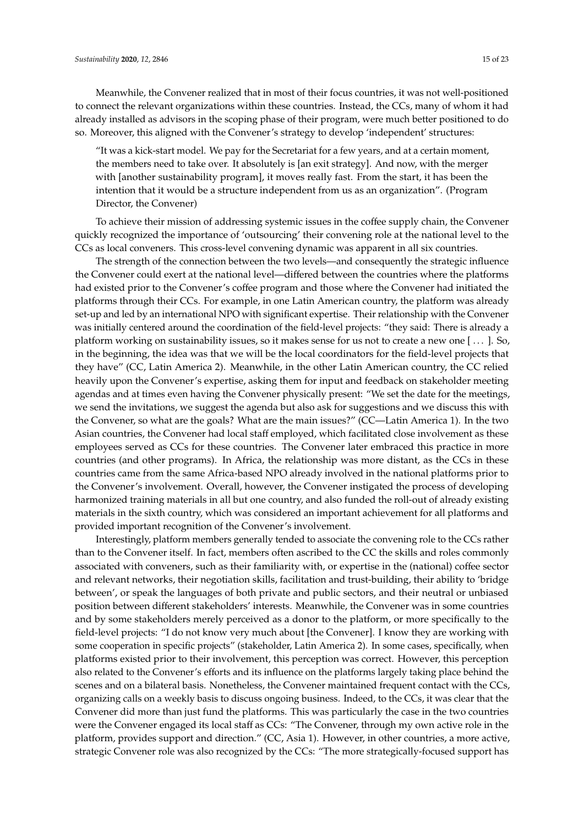Meanwhile, the Convener realized that in most of their focus countries, it was not well-positioned to connect the relevant organizations within these countries. Instead, the CCs, many of whom it had already installed as advisors in the scoping phase of their program, were much better positioned to do so. Moreover, this aligned with the Convener's strategy to develop 'independent' structures:

"It was a kick-start model. We pay for the Secretariat for a few years, and at a certain moment, the members need to take over. It absolutely is [an exit strategy]. And now, with the merger with [another sustainability program], it moves really fast. From the start, it has been the intention that it would be a structure independent from us as an organization". (Program Director, the Convener)

To achieve their mission of addressing systemic issues in the coffee supply chain, the Convener quickly recognized the importance of 'outsourcing' their convening role at the national level to the CCs as local conveners. This cross-level convening dynamic was apparent in all six countries.

The strength of the connection between the two levels—and consequently the strategic influence the Convener could exert at the national level—differed between the countries where the platforms had existed prior to the Convener's coffee program and those where the Convener had initiated the platforms through their CCs. For example, in one Latin American country, the platform was already set-up and led by an international NPO with significant expertise. Their relationship with the Convener was initially centered around the coordination of the field-level projects: "they said: There is already a platform working on sustainability issues, so it makes sense for us not to create a new one [ . . . ]. So, in the beginning, the idea was that we will be the local coordinators for the field-level projects that they have" (CC, Latin America 2). Meanwhile, in the other Latin American country, the CC relied heavily upon the Convener's expertise, asking them for input and feedback on stakeholder meeting agendas and at times even having the Convener physically present: "We set the date for the meetings, we send the invitations, we suggest the agenda but also ask for suggestions and we discuss this with the Convener, so what are the goals? What are the main issues?" (CC—Latin America 1). In the two Asian countries, the Convener had local staff employed, which facilitated close involvement as these employees served as CCs for these countries. The Convener later embraced this practice in more countries (and other programs). In Africa, the relationship was more distant, as the CCs in these countries came from the same Africa-based NPO already involved in the national platforms prior to the Convener's involvement. Overall, however, the Convener instigated the process of developing harmonized training materials in all but one country, and also funded the roll-out of already existing materials in the sixth country, which was considered an important achievement for all platforms and provided important recognition of the Convener's involvement.

Interestingly, platform members generally tended to associate the convening role to the CCs rather than to the Convener itself. In fact, members often ascribed to the CC the skills and roles commonly associated with conveners, such as their familiarity with, or expertise in the (national) coffee sector and relevant networks, their negotiation skills, facilitation and trust-building, their ability to 'bridge between', or speak the languages of both private and public sectors, and their neutral or unbiased position between different stakeholders' interests. Meanwhile, the Convener was in some countries and by some stakeholders merely perceived as a donor to the platform, or more specifically to the field-level projects: "I do not know very much about [the Convener]. I know they are working with some cooperation in specific projects" (stakeholder, Latin America 2). In some cases, specifically, when platforms existed prior to their involvement, this perception was correct. However, this perception also related to the Convener's efforts and its influence on the platforms largely taking place behind the scenes and on a bilateral basis. Nonetheless, the Convener maintained frequent contact with the CCs, organizing calls on a weekly basis to discuss ongoing business. Indeed, to the CCs, it was clear that the Convener did more than just fund the platforms. This was particularly the case in the two countries were the Convener engaged its local staff as CCs: "The Convener, through my own active role in the platform, provides support and direction." (CC, Asia 1). However, in other countries, a more active, strategic Convener role was also recognized by the CCs: "The more strategically-focused support has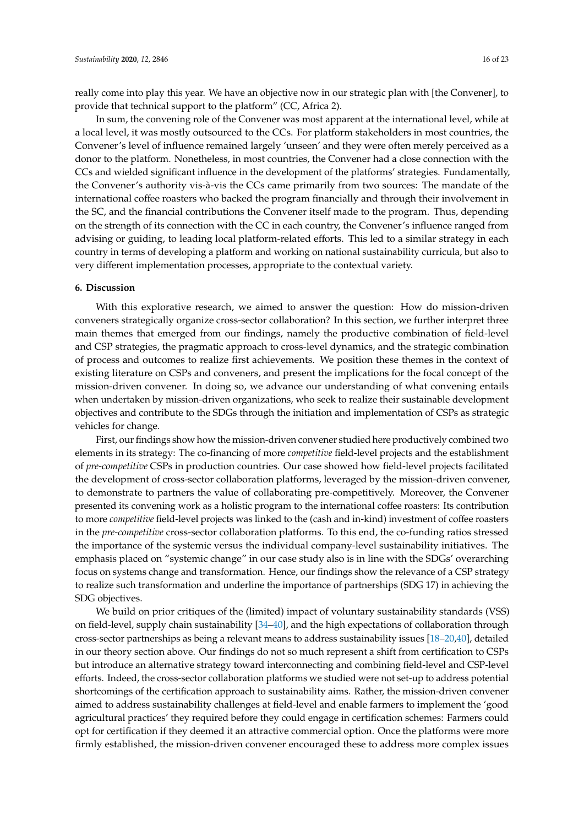really come into play this year. We have an objective now in our strategic plan with [the Convener], to provide that technical support to the platform" (CC, Africa 2).

In sum, the convening role of the Convener was most apparent at the international level, while at a local level, it was mostly outsourced to the CCs. For platform stakeholders in most countries, the Convener's level of influence remained largely 'unseen' and they were often merely perceived as a donor to the platform. Nonetheless, in most countries, the Convener had a close connection with the CCs and wielded significant influence in the development of the platforms' strategies. Fundamentally, the Convener's authority vis-à-vis the CCs came primarily from two sources: The mandate of the international coffee roasters who backed the program financially and through their involvement in the SC, and the financial contributions the Convener itself made to the program. Thus, depending on the strength of its connection with the CC in each country, the Convener's influence ranged from advising or guiding, to leading local platform-related efforts. This led to a similar strategy in each country in terms of developing a platform and working on national sustainability curricula, but also to very different implementation processes, appropriate to the contextual variety.

#### <span id="page-16-0"></span>**6. Discussion**

With this explorative research, we aimed to answer the question: How do mission-driven conveners strategically organize cross-sector collaboration? In this section, we further interpret three main themes that emerged from our findings, namely the productive combination of field-level and CSP strategies, the pragmatic approach to cross-level dynamics, and the strategic combination of process and outcomes to realize first achievements. We position these themes in the context of existing literature on CSPs and conveners, and present the implications for the focal concept of the mission-driven convener. In doing so, we advance our understanding of what convening entails when undertaken by mission-driven organizations, who seek to realize their sustainable development objectives and contribute to the SDGs through the initiation and implementation of CSPs as strategic vehicles for change.

First, our findings show how the mission-driven convener studied here productively combined two elements in its strategy: The co-financing of more *competitive* field-level projects and the establishment of *pre-competitive* CSPs in production countries. Our case showed how field-level projects facilitated the development of cross-sector collaboration platforms, leveraged by the mission-driven convener, to demonstrate to partners the value of collaborating pre-competitively. Moreover, the Convener presented its convening work as a holistic program to the international coffee roasters: Its contribution to more *competitive* field-level projects was linked to the (cash and in-kind) investment of coffee roasters in the *pre-competitive* cross-sector collaboration platforms. To this end, the co-funding ratios stressed the importance of the systemic versus the individual company-level sustainability initiatives. The emphasis placed on "systemic change" in our case study also is in line with the SDGs' overarching focus on systems change and transformation. Hence, our findings show the relevance of a CSP strategy to realize such transformation and underline the importance of partnerships (SDG 17) in achieving the SDG objectives.

We build on prior critiques of the (limited) impact of voluntary sustainability standards (VSS) on field-level, supply chain sustainability [\[34](#page-22-2)[–40\]](#page-22-5), and the high expectations of collaboration through cross-sector partnerships as being a relevant means to address sustainability issues [\[18](#page-21-11)[–20,](#page-21-12)[40\]](#page-22-5), detailed in our theory section above. Our findings do not so much represent a shift from certification to CSPs but introduce an alternative strategy toward interconnecting and combining field-level and CSP-level efforts. Indeed, the cross-sector collaboration platforms we studied were not set-up to address potential shortcomings of the certification approach to sustainability aims. Rather, the mission-driven convener aimed to address sustainability challenges at field-level and enable farmers to implement the 'good agricultural practices' they required before they could engage in certification schemes: Farmers could opt for certification if they deemed it an attractive commercial option. Once the platforms were more firmly established, the mission-driven convener encouraged these to address more complex issues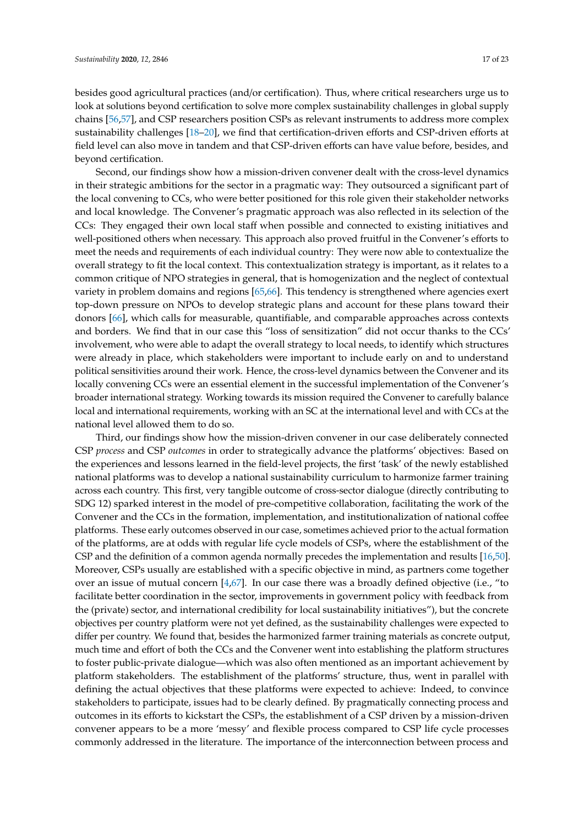besides good agricultural practices (and/or certification). Thus, where critical researchers urge us to look at solutions beyond certification to solve more complex sustainability challenges in global supply chains [\[56](#page-23-2)[,57\]](#page-23-3), and CSP researchers position CSPs as relevant instruments to address more complex sustainability challenges [\[18](#page-21-11)[–20\]](#page-21-12), we find that certification-driven efforts and CSP-driven efforts at field level can also move in tandem and that CSP-driven efforts can have value before, besides, and beyond certification.

Second, our findings show how a mission-driven convener dealt with the cross-level dynamics in their strategic ambitions for the sector in a pragmatic way: They outsourced a significant part of the local convening to CCs, who were better positioned for this role given their stakeholder networks and local knowledge. The Convener's pragmatic approach was also reflected in its selection of the CCs: They engaged their own local staff when possible and connected to existing initiatives and well-positioned others when necessary. This approach also proved fruitful in the Convener's efforts to meet the needs and requirements of each individual country: They were now able to contextualize the overall strategy to fit the local context. This contextualization strategy is important, as it relates to a common critique of NPO strategies in general, that is homogenization and the neglect of contextual variety in problem domains and regions [\[65](#page-23-11)[,66\]](#page-23-12). This tendency is strengthened where agencies exert top-down pressure on NPOs to develop strategic plans and account for these plans toward their donors [\[66\]](#page-23-12), which calls for measurable, quantifiable, and comparable approaches across contexts and borders. We find that in our case this "loss of sensitization" did not occur thanks to the CCs' involvement, who were able to adapt the overall strategy to local needs, to identify which structures were already in place, which stakeholders were important to include early on and to understand political sensitivities around their work. Hence, the cross-level dynamics between the Convener and its locally convening CCs were an essential element in the successful implementation of the Convener's broader international strategy. Working towards its mission required the Convener to carefully balance local and international requirements, working with an SC at the international level and with CCs at the national level allowed them to do so.

Third, our findings show how the mission-driven convener in our case deliberately connected CSP *process* and CSP *outcomes* in order to strategically advance the platforms' objectives: Based on the experiences and lessons learned in the field-level projects, the first 'task' of the newly established national platforms was to develop a national sustainability curriculum to harmonize farmer training across each country. This first, very tangible outcome of cross-sector dialogue (directly contributing to SDG 12) sparked interest in the model of pre-competitive collaboration, facilitating the work of the Convener and the CCs in the formation, implementation, and institutionalization of national coffee platforms. These early outcomes observed in our case, sometimes achieved prior to the actual formation of the platforms, are at odds with regular life cycle models of CSPs, where the establishment of the CSP and the definition of a common agenda normally precedes the implementation and results [\[16](#page-21-8)[,50\]](#page-22-15). Moreover, CSPs usually are established with a specific objective in mind, as partners come together over an issue of mutual concern [\[4,](#page-20-3)[67\]](#page-23-13). In our case there was a broadly defined objective (i.e., "to facilitate better coordination in the sector, improvements in government policy with feedback from the (private) sector, and international credibility for local sustainability initiatives"), but the concrete objectives per country platform were not yet defined, as the sustainability challenges were expected to differ per country. We found that, besides the harmonized farmer training materials as concrete output, much time and effort of both the CCs and the Convener went into establishing the platform structures to foster public-private dialogue—which was also often mentioned as an important achievement by platform stakeholders. The establishment of the platforms' structure, thus, went in parallel with defining the actual objectives that these platforms were expected to achieve: Indeed, to convince stakeholders to participate, issues had to be clearly defined. By pragmatically connecting process and outcomes in its efforts to kickstart the CSPs, the establishment of a CSP driven by a mission-driven convener appears to be a more 'messy' and flexible process compared to CSP life cycle processes commonly addressed in the literature. The importance of the interconnection between process and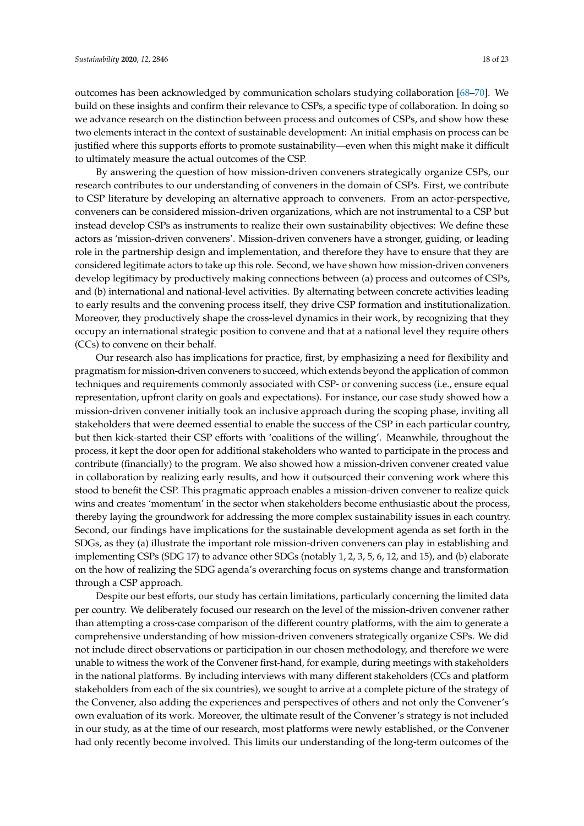outcomes has been acknowledged by communication scholars studying collaboration [\[68](#page-23-14)[–70\]](#page-23-15). We build on these insights and confirm their relevance to CSPs, a specific type of collaboration. In doing so we advance research on the distinction between process and outcomes of CSPs, and show how these two elements interact in the context of sustainable development: An initial emphasis on process can be justified where this supports efforts to promote sustainability—even when this might make it difficult to ultimately measure the actual outcomes of the CSP.

By answering the question of how mission-driven conveners strategically organize CSPs, our research contributes to our understanding of conveners in the domain of CSPs. First, we contribute to CSP literature by developing an alternative approach to conveners. From an actor-perspective, conveners can be considered mission-driven organizations, which are not instrumental to a CSP but instead develop CSPs as instruments to realize their own sustainability objectives: We define these actors as 'mission-driven conveners'. Mission-driven conveners have a stronger, guiding, or leading role in the partnership design and implementation, and therefore they have to ensure that they are considered legitimate actors to take up this role. Second, we have shown how mission-driven conveners develop legitimacy by productively making connections between (a) process and outcomes of CSPs, and (b) international and national-level activities. By alternating between concrete activities leading to early results and the convening process itself, they drive CSP formation and institutionalization. Moreover, they productively shape the cross-level dynamics in their work, by recognizing that they occupy an international strategic position to convene and that at a national level they require others (CCs) to convene on their behalf.

Our research also has implications for practice, first, by emphasizing a need for flexibility and pragmatism for mission-driven conveners to succeed, which extends beyond the application of common techniques and requirements commonly associated with CSP- or convening success (i.e., ensure equal representation, upfront clarity on goals and expectations). For instance, our case study showed how a mission-driven convener initially took an inclusive approach during the scoping phase, inviting all stakeholders that were deemed essential to enable the success of the CSP in each particular country, but then kick-started their CSP efforts with 'coalitions of the willing'. Meanwhile, throughout the process, it kept the door open for additional stakeholders who wanted to participate in the process and contribute (financially) to the program. We also showed how a mission-driven convener created value in collaboration by realizing early results, and how it outsourced their convening work where this stood to benefit the CSP. This pragmatic approach enables a mission-driven convener to realize quick wins and creates 'momentum' in the sector when stakeholders become enthusiastic about the process, thereby laying the groundwork for addressing the more complex sustainability issues in each country. Second, our findings have implications for the sustainable development agenda as set forth in the SDGs, as they (a) illustrate the important role mission-driven conveners can play in establishing and implementing CSPs (SDG 17) to advance other SDGs (notably 1, 2, 3, 5, 6, 12, and 15), and (b) elaborate on the how of realizing the SDG agenda's overarching focus on systems change and transformation through a CSP approach.

Despite our best efforts, our study has certain limitations, particularly concerning the limited data per country. We deliberately focused our research on the level of the mission-driven convener rather than attempting a cross-case comparison of the different country platforms, with the aim to generate a comprehensive understanding of how mission-driven conveners strategically organize CSPs. We did not include direct observations or participation in our chosen methodology, and therefore we were unable to witness the work of the Convener first-hand, for example, during meetings with stakeholders in the national platforms. By including interviews with many different stakeholders (CCs and platform stakeholders from each of the six countries), we sought to arrive at a complete picture of the strategy of the Convener, also adding the experiences and perspectives of others and not only the Convener's own evaluation of its work. Moreover, the ultimate result of the Convener's strategy is not included in our study, as at the time of our research, most platforms were newly established, or the Convener had only recently become involved. This limits our understanding of the long-term outcomes of the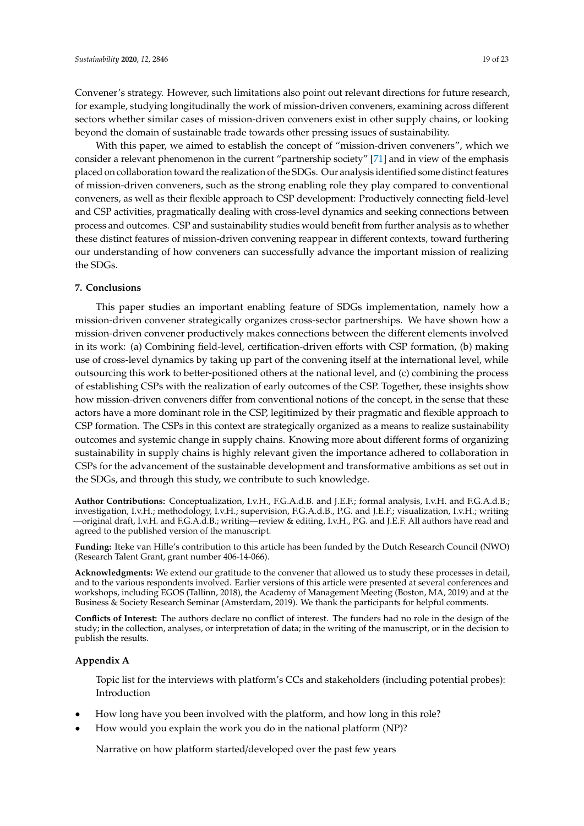Convener's strategy. However, such limitations also point out relevant directions for future research, for example, studying longitudinally the work of mission-driven conveners, examining across different sectors whether similar cases of mission-driven conveners exist in other supply chains, or looking beyond the domain of sustainable trade towards other pressing issues of sustainability.

With this paper, we aimed to establish the concept of "mission-driven conveners", which we consider a relevant phenomenon in the current "partnership society" [\[71\]](#page-23-16) and in view of the emphasis placed on collaboration toward the realization of the SDGs. Our analysis identified some distinct features of mission-driven conveners, such as the strong enabling role they play compared to conventional conveners, as well as their flexible approach to CSP development: Productively connecting field-level and CSP activities, pragmatically dealing with cross-level dynamics and seeking connections between process and outcomes. CSP and sustainability studies would benefit from further analysis as to whether these distinct features of mission-driven convening reappear in different contexts, toward furthering our understanding of how conveners can successfully advance the important mission of realizing the SDGs.

#### <span id="page-19-0"></span>**7. Conclusions**

This paper studies an important enabling feature of SDGs implementation, namely how a mission-driven convener strategically organizes cross-sector partnerships. We have shown how a mission-driven convener productively makes connections between the different elements involved in its work: (a) Combining field-level, certification-driven efforts with CSP formation, (b) making use of cross-level dynamics by taking up part of the convening itself at the international level, while outsourcing this work to better-positioned others at the national level, and (c) combining the process of establishing CSPs with the realization of early outcomes of the CSP. Together, these insights show how mission-driven conveners differ from conventional notions of the concept, in the sense that these actors have a more dominant role in the CSP, legitimized by their pragmatic and flexible approach to CSP formation. The CSPs in this context are strategically organized as a means to realize sustainability outcomes and systemic change in supply chains. Knowing more about different forms of organizing sustainability in supply chains is highly relevant given the importance adhered to collaboration in CSPs for the advancement of the sustainable development and transformative ambitions as set out in the SDGs, and through this study, we contribute to such knowledge.

**Author Contributions:** Conceptualization, I.v.H., F.G.A.d.B. and J.E.F.; formal analysis, I.v.H. and F.G.A.d.B.; investigation, I.v.H.; methodology, I.v.H.; supervision, F.G.A.d.B., P.G. and J.E.F.; visualization, I.v.H.; writing —original draft, I.v.H. and F.G.A.d.B.; writing—review & editing, I.v.H., P.G. and J.E.F. All authors have read and agreed to the published version of the manuscript.

**Funding:** Iteke van Hille's contribution to this article has been funded by the Dutch Research Council (NWO) (Research Talent Grant, grant number 406-14-066).

**Acknowledgments:** We extend our gratitude to the convener that allowed us to study these processes in detail, and to the various respondents involved. Earlier versions of this article were presented at several conferences and workshops, including EGOS (Tallinn, 2018), the Academy of Management Meeting (Boston, MA, 2019) and at the Business & Society Research Seminar (Amsterdam, 2019). We thank the participants for helpful comments.

**Conflicts of Interest:** The authors declare no conflict of interest. The funders had no role in the design of the study; in the collection, analyses, or interpretation of data; in the writing of the manuscript, or in the decision to publish the results.

## <span id="page-19-1"></span>**Appendix A**

Topic list for the interviews with platform's CCs and stakeholders (including potential probes): Introduction

- How long have you been involved with the platform, and how long in this role?
- How would you explain the work you do in the national platform (NP)?

Narrative on how platform started/developed over the past few years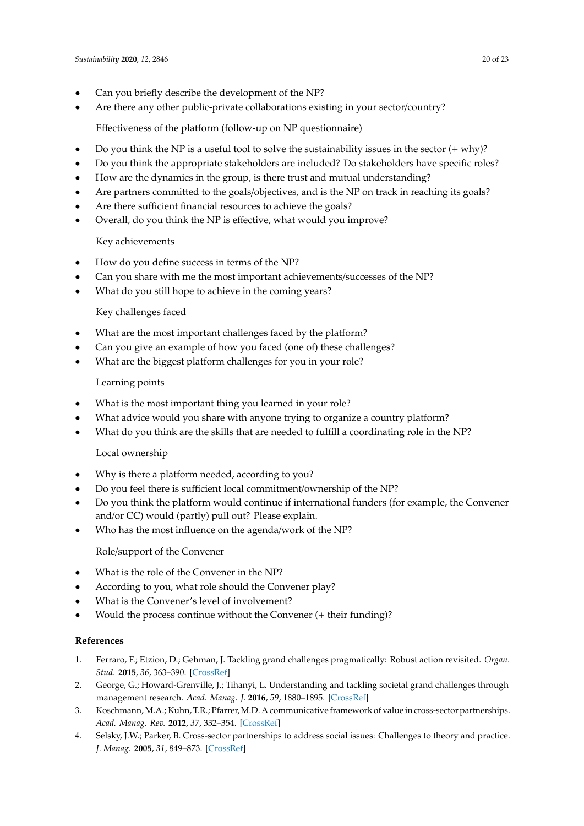- Can you briefly describe the development of the NP?
- Are there any other public-private collaborations existing in your sector/country?

Effectiveness of the platform (follow-up on NP questionnaire)

- Do you think the NP is a useful tool to solve the sustainability issues in the sector  $(+ \text{ why})$ ?
- Do you think the appropriate stakeholders are included? Do stakeholders have specific roles?
- How are the dynamics in the group, is there trust and mutual understanding?
- Are partners committed to the goals/objectives, and is the NP on track in reaching its goals?
- Are there sufficient financial resources to achieve the goals?
- Overall, do you think the NP is effective, what would you improve?

# Key achievements

- How do you define success in terms of the NP?
- Can you share with me the most important achievements/successes of the NP?
- What do you still hope to achieve in the coming years?

# Key challenges faced

- What are the most important challenges faced by the platform?
- Can you give an example of how you faced (one of) these challenges?
- What are the biggest platform challenges for you in your role?

# Learning points

- What is the most important thing you learned in your role?
- What advice would you share with anyone trying to organize a country platform?
- What do you think are the skills that are needed to fulfill a coordinating role in the NP?

# Local ownership

- Why is there a platform needed, according to you?
- Do you feel there is sufficient local commitment/ownership of the NP?
- Do you think the platform would continue if international funders (for example, the Convener and/or CC) would (partly) pull out? Please explain.
- Who has the most influence on the agenda/work of the NP?

Role/support of the Convener

- What is the role of the Convener in the NP?
- According to you, what role should the Convener play?
- What is the Convener's level of involvement?
- Would the process continue without the Convener (+ their funding)?

# **References**

- <span id="page-20-0"></span>1. Ferraro, F.; Etzion, D.; Gehman, J. Tackling grand challenges pragmatically: Robust action revisited. *Organ. Stud.* **2015**, *36*, 363–390. [\[CrossRef\]](http://dx.doi.org/10.1177/0170840614563742)
- <span id="page-20-1"></span>2. George, G.; Howard-Grenville, J.; Tihanyi, L. Understanding and tackling societal grand challenges through management research. *Acad. Manag. J.* **2016**, *59*, 1880–1895. [\[CrossRef\]](http://dx.doi.org/10.5465/amj.2016.4007)
- <span id="page-20-2"></span>3. Koschmann, M.A.; Kuhn, T.R.; Pfarrer, M.D. A communicative framework of value in cross-sector partnerships. *Acad. Manag. Rev.* **2012**, *37*, 332–354. [\[CrossRef\]](http://dx.doi.org/10.5465/amr.2010.0314)
- <span id="page-20-3"></span>4. Selsky, J.W.; Parker, B. Cross-sector partnerships to address social issues: Challenges to theory and practice. *J. Manag.* **2005**, *31*, 849–873. [\[CrossRef\]](http://dx.doi.org/10.1177/0149206305279601)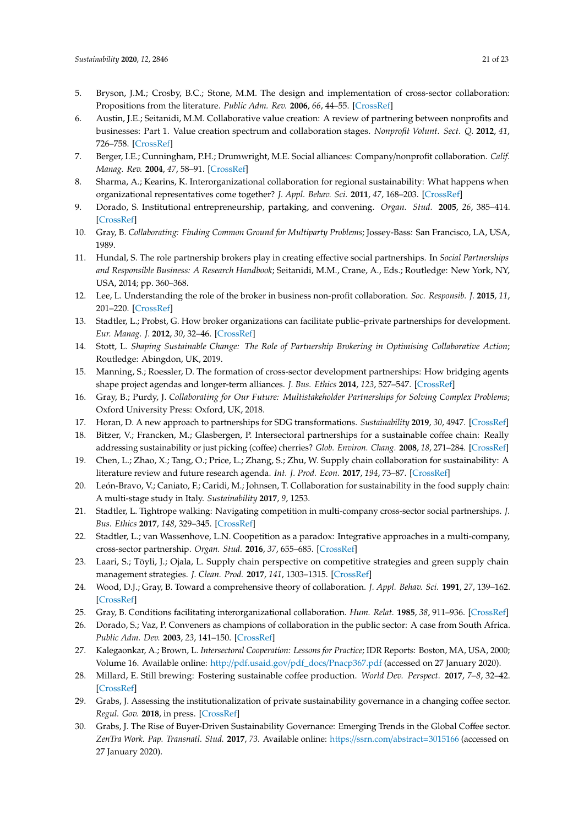- <span id="page-21-0"></span>5. Bryson, J.M.; Crosby, B.C.; Stone, M.M. The design and implementation of cross-sector collaboration: Propositions from the literature. *Public Adm. Rev.* **2006**, *66*, 44–55. [\[CrossRef\]](http://dx.doi.org/10.1111/j.1540-6210.2006.00665.x)
- <span id="page-21-1"></span>6. Austin, J.E.; Seitanidi, M.M. Collaborative value creation: A review of partnering between nonprofits and businesses: Part 1. Value creation spectrum and collaboration stages. *Nonprofit Volunt. Sect. Q.* **2012**, *41*, 726–758. [\[CrossRef\]](http://dx.doi.org/10.1177/0899764012450777)
- 7. Berger, I.E.; Cunningham, P.H.; Drumwright, M.E. Social alliances: Company/nonprofit collaboration. *Calif. Manag. Rev.* **2004**, *47*, 58–91. [\[CrossRef\]](http://dx.doi.org/10.2307/41166287)
- <span id="page-21-2"></span>8. Sharma, A.; Kearins, K. Interorganizational collaboration for regional sustainability: What happens when organizational representatives come together? *J. Appl. Behav. Sci.* **2011**, *47*, 168–203. [\[CrossRef\]](http://dx.doi.org/10.1177/0021886310381782)
- <span id="page-21-3"></span>9. Dorado, S. Institutional entrepreneurship, partaking, and convening. *Organ. Stud.* **2005**, *26*, 385–414. [\[CrossRef\]](http://dx.doi.org/10.1177/0170840605050873)
- <span id="page-21-4"></span>10. Gray, B. *Collaborating: Finding Common Ground for Multiparty Problems*; Jossey-Bass: San Francisco, LA, USA, 1989.
- <span id="page-21-5"></span>11. Hundal, S. The role partnership brokers play in creating effective social partnerships. In *Social Partnerships and Responsible Business: A Research Handbook*; Seitanidi, M.M., Crane, A., Eds.; Routledge: New York, NY, USA, 2014; pp. 360–368.
- 12. Lee, L. Understanding the role of the broker in business non-profit collaboration. *Soc. Responsib. J.* **2015**, *11*, 201–220. [\[CrossRef\]](http://dx.doi.org/10.1108/SRJ-05-2013-0050)
- <span id="page-21-10"></span>13. Stadtler, L.; Probst, G. How broker organizations can facilitate public–private partnerships for development. *Eur. Manag. J.* **2012**, *30*, 32–46. [\[CrossRef\]](http://dx.doi.org/10.1016/j.emj.2011.10.002)
- <span id="page-21-6"></span>14. Stott, L. *Shaping Sustainable Change: The Role of Partnership Brokering in Optimising Collaborative Action*; Routledge: Abingdon, UK, 2019.
- <span id="page-21-7"></span>15. Manning, S.; Roessler, D. The formation of cross-sector development partnerships: How bridging agents shape project agendas and longer-term alliances. *J. Bus. Ethics* **2014**, *123*, 527–547. [\[CrossRef\]](http://dx.doi.org/10.1007/s10551-013-1853-5)
- <span id="page-21-8"></span>16. Gray, B.; Purdy, J. *Collaborating for Our Future: Multistakeholder Partnerships for Solving Complex Problems*; Oxford University Press: Oxford, UK, 2018.
- <span id="page-21-9"></span>17. Horan, D. A new approach to partnerships for SDG transformations. *Sustainability* **2019**, *30*, 4947. [\[CrossRef\]](http://dx.doi.org/10.3390/su11184947)
- <span id="page-21-11"></span>18. Bitzer, V.; Francken, M.; Glasbergen, P. Intersectoral partnerships for a sustainable coffee chain: Really addressing sustainability or just picking (coffee) cherries? *Glob. Environ. Chang.* **2008**, *18*, 271–284. [\[CrossRef\]](http://dx.doi.org/10.1016/j.gloenvcha.2008.01.002)
- 19. Chen, L.; Zhao, X.; Tang, O.; Price, L.; Zhang, S.; Zhu, W. Supply chain collaboration for sustainability: A literature review and future research agenda. *Int. J. Prod. Econ.* **2017**, *194*, 73–87. [\[CrossRef\]](http://dx.doi.org/10.1016/j.ijpe.2017.04.005)
- <span id="page-21-12"></span>20. León-Bravo, V.; Caniato, F.; Caridi, M.; Johnsen, T. Collaboration for sustainability in the food supply chain: A multi-stage study in Italy. *Sustainability* **2017**, *9*, 1253.
- <span id="page-21-13"></span>21. Stadtler, L. Tightrope walking: Navigating competition in multi-company cross-sector social partnerships. *J. Bus. Ethics* **2017**, *148*, 329–345. [\[CrossRef\]](http://dx.doi.org/10.1007/s10551-017-3579-2)
- <span id="page-21-14"></span>22. Stadtler, L.; van Wassenhove, L.N. Coopetition as a paradox: Integrative approaches in a multi-company, cross-sector partnership. *Organ. Stud.* **2016**, *37*, 655–685. [\[CrossRef\]](http://dx.doi.org/10.1177/0170840615622066)
- <span id="page-21-15"></span>23. Laari, S.; Töyli, J.; Ojala, L. Supply chain perspective on competitive strategies and green supply chain management strategies. *J. Clean. Prod.* **2017**, *141*, 1303–1315. [\[CrossRef\]](http://dx.doi.org/10.1016/j.jclepro.2016.09.114)
- <span id="page-21-16"></span>24. Wood, D.J.; Gray, B. Toward a comprehensive theory of collaboration. *J. Appl. Behav. Sci.* **1991**, *27*, 139–162. [\[CrossRef\]](http://dx.doi.org/10.1177/0021886391272001)
- <span id="page-21-20"></span>25. Gray, B. Conditions facilitating interorganizational collaboration. *Hum. Relat.* **1985**, *38*, 911–936. [\[CrossRef\]](http://dx.doi.org/10.1177/001872678503801001)
- 26. Dorado, S.; Vaz, P. Conveners as champions of collaboration in the public sector: A case from South Africa. *Public Adm. Dev.* **2003**, *23*, 141–150. [\[CrossRef\]](http://dx.doi.org/10.1002/pad.270)
- <span id="page-21-17"></span>27. Kalegaonkar, A.; Brown, L. *Intersectoral Cooperation: Lessons for Practice*; IDR Reports: Boston, MA, USA, 2000; Volume 16. Available online: http://[pdf.usaid.gov](http://pdf.usaid.gov/pdf_docs/Pnacp367.pdf)/pdf\_docs/Pnacp367.pdf (accessed on 27 January 2020).
- <span id="page-21-18"></span>28. Millard, E. Still brewing: Fostering sustainable coffee production. *World Dev. Perspect.* **2017**, *7–8*, 32–42. [\[CrossRef\]](http://dx.doi.org/10.1016/j.wdp.2017.11.004)
- <span id="page-21-21"></span>29. Grabs, J. Assessing the institutionalization of private sustainability governance in a changing coffee sector. *Regul. Gov.* **2018**, in press. [\[CrossRef\]](http://dx.doi.org/10.1111/rego.12212)
- <span id="page-21-19"></span>30. Grabs, J. The Rise of Buyer-Driven Sustainability Governance: Emerging Trends in the Global Coffee sector. *ZenTra Work. Pap. Transnatl. Stud.* **2017**, *73*. Available online: https://[ssrn.com](https://ssrn.com/abstract=3015166)/abstract=3015166 (accessed on 27 January 2020).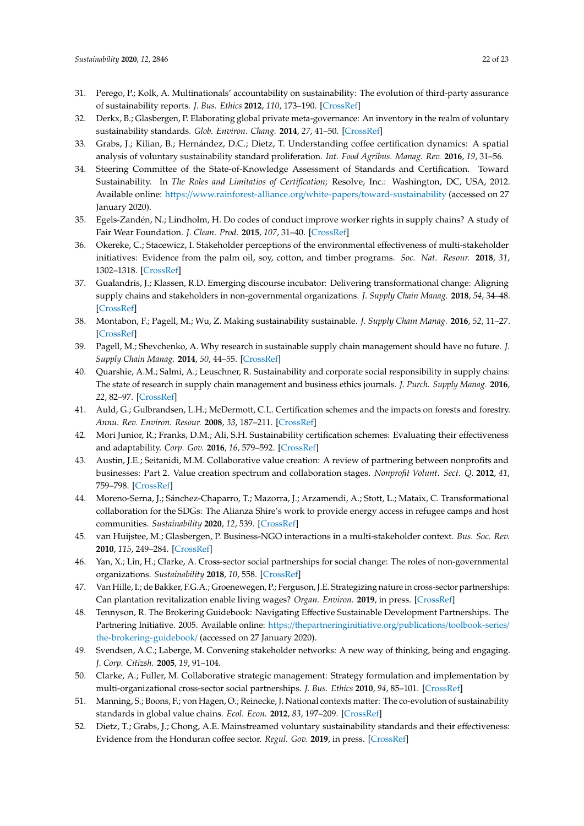- <span id="page-22-0"></span>31. Perego, P.; Kolk, A. Multinationals' accountability on sustainability: The evolution of third-party assurance of sustainability reports. *J. Bus. Ethics* **2012**, *110*, 173–190. [\[CrossRef\]](http://dx.doi.org/10.1007/s10551-012-1420-5)
- 32. Derkx, B.; Glasbergen, P. Elaborating global private meta-governance: An inventory in the realm of voluntary sustainability standards. *Glob. Environ. Chang.* **2014**, *27*, 41–50. [\[CrossRef\]](http://dx.doi.org/10.1016/j.gloenvcha.2014.04.016)
- <span id="page-22-1"></span>33. Grabs, J.; Kilian, B.; Hernández, D.C.; Dietz, T. Understanding coffee certification dynamics: A spatial analysis of voluntary sustainability standard proliferation. *Int. Food Agribus. Manag. Rev.* **2016**, *19*, 31–56.
- <span id="page-22-2"></span>34. Steering Committee of the State-of-Knowledge Assessment of Standards and Certification. Toward Sustainability. In *The Roles and Limitatios of Certification*; Resolve, Inc.: Washington, DC, USA, 2012. Available online: https://[www.rainforest-alliance.org](https://www.rainforest-alliance.org/white-papers/toward-sustainability)/white-papers/toward-sustainability (accessed on 27 January 2020).
- 35. Egels-Zandén, N.; Lindholm, H. Do codes of conduct improve worker rights in supply chains? A study of Fair Wear Foundation. *J. Clean. Prod.* **2015**, *107*, 31–40. [\[CrossRef\]](http://dx.doi.org/10.1016/j.jclepro.2014.08.096)
- <span id="page-22-3"></span>36. Okereke, C.; Stacewicz, I. Stakeholder perceptions of the environmental effectiveness of multi-stakeholder initiatives: Evidence from the palm oil, soy, cotton, and timber programs. *Soc. Nat. Resour.* **2018**, *31*, 1302–1318. [\[CrossRef\]](http://dx.doi.org/10.1080/08941920.2018.1482037)
- <span id="page-22-4"></span>37. Gualandris, J.; Klassen, R.D. Emerging discourse incubator: Delivering transformational change: Aligning supply chains and stakeholders in non-governmental organizations. *J. Supply Chain Manag.* **2018**, *54*, 34–48. [\[CrossRef\]](http://dx.doi.org/10.1111/jscm.12164)
- 38. Montabon, F.; Pagell, M.; Wu, Z. Making sustainability sustainable. *J. Supply Chain Manag.* **2016**, *52*, 11–27. [\[CrossRef\]](http://dx.doi.org/10.1111/jscm.12103)
- 39. Pagell, M.; Shevchenko, A. Why research in sustainable supply chain management should have no future. *J. Supply Chain Manag.* **2014**, *50*, 44–55. [\[CrossRef\]](http://dx.doi.org/10.1111/jscm.12037)
- <span id="page-22-5"></span>40. Quarshie, A.M.; Salmi, A.; Leuschner, R. Sustainability and corporate social responsibility in supply chains: The state of research in supply chain management and business ethics journals. *J. Purch. Supply Manag.* **2016**, *22*, 82–97. [\[CrossRef\]](http://dx.doi.org/10.1016/j.pursup.2015.11.001)
- <span id="page-22-6"></span>41. Auld, G.; Gulbrandsen, L.H.; McDermott, C.L. Certification schemes and the impacts on forests and forestry. *Annu. Rev. Environ. Resour.* **2008**, *33*, 187–211. [\[CrossRef\]](http://dx.doi.org/10.1146/annurev.environ.33.013007.103754)
- <span id="page-22-7"></span>42. Mori Junior, R.; Franks, D.M.; Ali, S.H. Sustainability certification schemes: Evaluating their effectiveness and adaptability. *Corp. Gov.* **2016**, *16*, 579–592. [\[CrossRef\]](http://dx.doi.org/10.1108/CG-03-2016-0066)
- <span id="page-22-8"></span>43. Austin, J.E.; Seitanidi, M.M. Collaborative value creation: A review of partnering between nonprofits and businesses: Part 2. Value creation spectrum and collaboration stages. *Nonprofit Volunt. Sect. Q.* **2012**, *41*, 759–798. [\[CrossRef\]](http://dx.doi.org/10.1177/0899764012450777)
- <span id="page-22-9"></span>44. Moreno-Serna, J.; Sánchez-Chaparro, T.; Mazorra, J.; Arzamendi, A.; Stott, L.; Mataix, C. Transformational collaboration for the SDGs: The Alianza Shire's work to provide energy access in refugee camps and host communities. *Sustainability* **2020**, *12*, 539. [\[CrossRef\]](http://dx.doi.org/10.3390/su12020539)
- <span id="page-22-10"></span>45. van Huijstee, M.; Glasbergen, P. Business-NGO interactions in a multi-stakeholder context. *Bus. Soc. Rev.* **2010**, *115*, 249–284. [\[CrossRef\]](http://dx.doi.org/10.1111/j.1467-8594.2010.00364.x)
- <span id="page-22-11"></span>46. Yan, X.; Lin, H.; Clarke, A. Cross-sector social partnerships for social change: The roles of non-governmental organizations. *Sustainability* **2018**, *10*, 558. [\[CrossRef\]](http://dx.doi.org/10.3390/su10020558)
- <span id="page-22-12"></span>47. Van Hille, I.; de Bakker, F.G.A.; Groenewegen, P.; Ferguson, J.E. Strategizing nature in cross-sector partnerships: Can plantation revitalization enable living wages? *Organ. Environ.* **2019**, in press. [\[CrossRef\]](http://dx.doi.org/10.1177/1086026619886848)
- <span id="page-22-13"></span>48. Tennyson, R. The Brokering Guidebook: Navigating Effective Sustainable Development Partnerships. The Partnering Initiative. 2005. Available online: https://[thepartneringinitiative.org](https://thepartneringinitiative.org/publications/toolbook-series/the-brokering-guidebook/)/publications/toolbook-series/ [the-brokering-guidebook](https://thepartneringinitiative.org/publications/toolbook-series/the-brokering-guidebook/)/ (accessed on 27 January 2020).
- <span id="page-22-14"></span>49. Svendsen, A.C.; Laberge, M. Convening stakeholder networks: A new way of thinking, being and engaging. *J. Corp. Citizsh.* **2005**, *19*, 91–104.
- <span id="page-22-15"></span>50. Clarke, A.; Fuller, M. Collaborative strategic management: Strategy formulation and implementation by multi-organizational cross-sector social partnerships. *J. Bus. Ethics* **2010**, *94*, 85–101. [\[CrossRef\]](http://dx.doi.org/10.1007/s10551-011-0781-5)
- <span id="page-22-16"></span>51. Manning, S.; Boons, F.; von Hagen, O.; Reinecke, J. National contexts matter: The co-evolution of sustainability standards in global value chains. *Ecol. Econ.* **2012**, *83*, 197–209. [\[CrossRef\]](http://dx.doi.org/10.1016/j.ecolecon.2011.08.029)
- <span id="page-22-17"></span>52. Dietz, T.; Grabs, J.; Chong, A.E. Mainstreamed voluntary sustainability standards and their effectiveness: Evidence from the Honduran coffee sector. *Regul. Gov.* **2019**, in press. [\[CrossRef\]](http://dx.doi.org/10.1111/rego.12239)